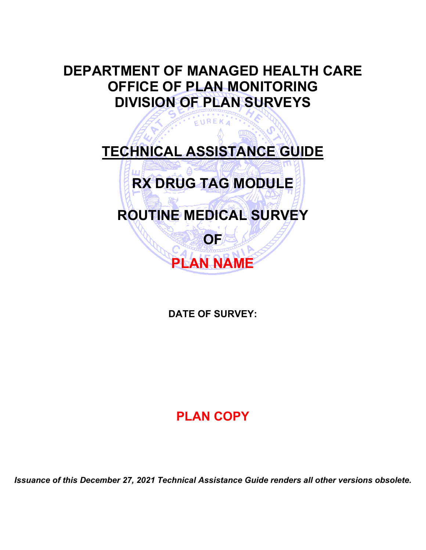# **DEPARTMENT OF MANAGED HEALTH CARE OFFICE OF PLAN MONITORING DIVISION OF PLAN SURVEYS**

**TECHNICAL ASSISTANCE GUIDE**

EUREKA



**ROUTINE MEDICAL SURVEY**

**OF**

**PLAN NAME**

# **DATE OF SURVEY:**

# **PLAN COPY**

*Issuance of this December 27, 2021 Technical Assistance Guide renders all other versions obsolete.*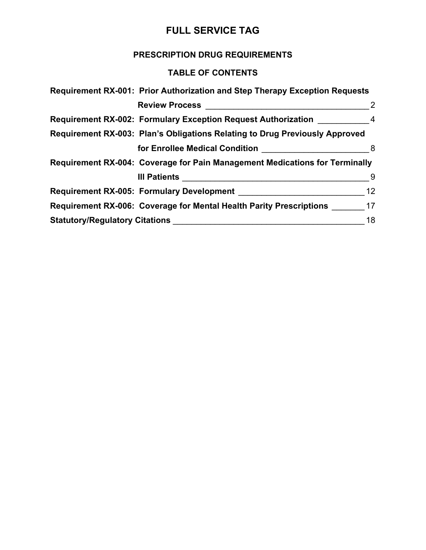### **PRESCRIPTION DRUG REQUIREMENTS**

### **TABLE OF CONTENTS**

|                                       | Requirement RX-001: Prior Authorization and Step Therapy Exception Requests |                |
|---------------------------------------|-----------------------------------------------------------------------------|----------------|
|                                       | <b>Review Process</b>                                                       | $\overline{2}$ |
|                                       | <b>Requirement RX-002: Formulary Exception Request Authorization</b>        | $\overline{4}$ |
|                                       | Requirement RX-003: Plan's Obligations Relating to Drug Previously Approved |                |
|                                       |                                                                             | 8              |
|                                       | Requirement RX-004: Coverage for Pain Management Medications for Terminally |                |
|                                       | III Patients                                                                | 9              |
|                                       | Requirement RX-005: Formulary Development                                   | 12             |
|                                       | <b>Requirement RX-006: Coverage for Mental Health Parity Prescriptions</b>  | 17             |
| <b>Statutory/Regulatory Citations</b> |                                                                             | 18             |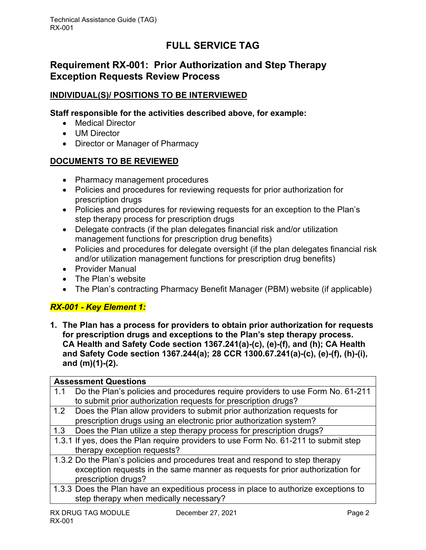### <span id="page-2-0"></span>**Requirement RX-001: Prior Authorization and Step Therapy Exception Requests Review Process**

#### **INDIVIDUAL(S)/ POSITIONS TO BE INTERVIEWED**

#### **Staff responsible for the activities described above, for example:**

- Medical Director
- UM Director
- Director or Manager of Pharmacy

#### **DOCUMENTS TO BE REVIEWED**

- Pharmacy management procedures
- Policies and procedures for reviewing requests for prior authorization for prescription drugs
- Policies and procedures for reviewing requests for an exception to the Plan's step therapy process for prescription drugs
- Delegate contracts (if the plan delegates financial risk and/or utilization management functions for prescription drug benefits)
- Policies and procedures for delegate oversight (if the plan delegates financial risk and/or utilization management functions for prescription drug benefits)
- Provider Manual
- The Plan's website
- The Plan's contracting Pharmacy Benefit Manager (PBM) website (if applicable)

### *RX-001 - Key Element 1:*

**1. The Plan has a process for providers to obtain prior authorization for requests for prescription drugs and exceptions to the Plan's step therapy process. CA Health and Safety Code section 1367.241(a)-(c), (e)-(f), and (h); CA Health and Safety Code section 1367.244(a); 28 CCR 1300.67.241(a)-(c), (e)-(f), (h)-(i), and (m)(1)-(2).**

|     | <b>Assessment Questions</b>                                                         |
|-----|-------------------------------------------------------------------------------------|
| 1.1 | Do the Plan's policies and procedures require providers to use Form No. 61-211      |
|     | to submit prior authorization requests for prescription drugs?                      |
|     | 1.2 Does the Plan allow providers to submit prior authorization requests for        |
|     | prescription drugs using an electronic prior authorization system?                  |
|     | 1.3 Does the Plan utilize a step therapy process for prescription drugs?            |
|     | 1.3.1 If yes, does the Plan require providers to use Form No. 61-211 to submit step |
|     | therapy exception requests?                                                         |
|     | 1.3.2 Do the Plan's policies and procedures treat and respond to step therapy       |
|     | exception requests in the same manner as requests for prior authorization for       |
|     | prescription drugs?                                                                 |
|     | 1.3.3 Does the Plan have an expeditious process in place to authorize exceptions to |
|     | step therapy when medically necessary?                                              |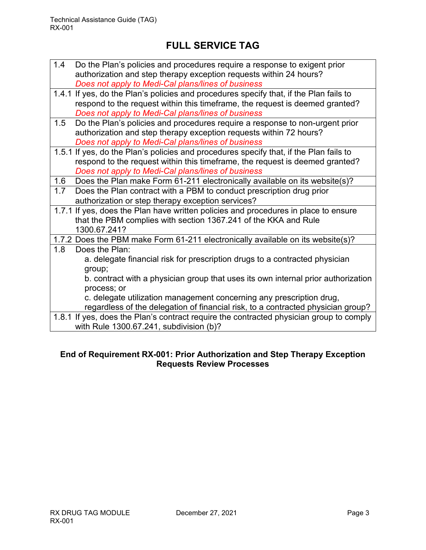| 1.4 Do the Plan's policies and procedures require a response to exigent prior |
|-------------------------------------------------------------------------------|
| authorization and step therapy exception requests within 24 hours?            |
| Does not apply to Medi-Cal plans/lines of business                            |

- 1.4.1 If yes, do the Plan's policies and procedures specify that, if the Plan fails to respond to the request within this timeframe, the request is deemed granted? *Does not apply to Medi-Cal plans/lines of business*
- 1.5 Do the Plan's policies and procedures require a response to non-urgent prior authorization and step therapy exception requests within 72 hours? *Does not apply to Medi-Cal plans/lines of business*
- 1.5.1 If yes, do the Plan's policies and procedures specify that, if the Plan fails to respond to the request within this timeframe, the request is deemed granted? *Does not apply to Medi-Cal plans/lines of business*

1.6 Does the Plan make Form 61-211 electronically available on its website(s)?

- 1.7 Does the Plan contract with a PBM to conduct prescription drug prior authorization or step therapy exception services?
- 1.7.1 If yes, does the Plan have written policies and procedures in place to ensure that the PBM complies with section 1367.241 of the KKA and Rule 1300.67.241?

1.7.2 Does the PBM make Form 61-211 electronically available on its website(s)?

- 1.8 Does the Plan: a. delegate financial risk for prescription drugs to a contracted physician group; b. contract with a physician group that uses its own internal prior authorization process; or c. delegate utilization management concerning any prescription drug, regardless of the delegation of financial risk, to a contracted physician group?
- 1.8.1 If yes, does the Plan's contract require the contracted physician group to comply with Rule 1300.67.241, subdivision (b)?

### **End of Requirement RX-001: Prior Authorization and Step Therapy Exception Requests Review Processes**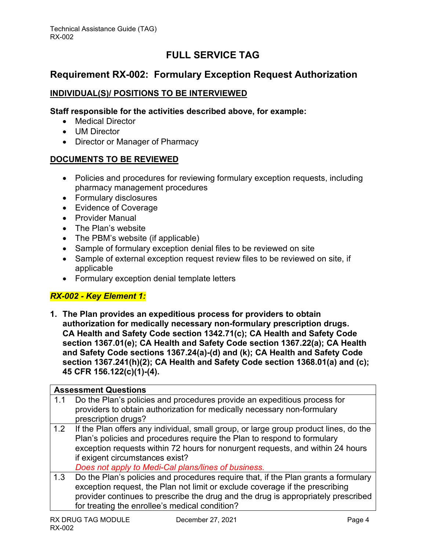### <span id="page-4-0"></span>**Requirement RX-002: Formulary Exception Request Authorization**

#### **INDIVIDUAL(S)/ POSITIONS TO BE INTERVIEWED**

#### **Staff responsible for the activities described above, for example:**

- Medical Director
- UM Director
- Director or Manager of Pharmacy

#### **DOCUMENTS TO BE REVIEWED**

- Policies and procedures for reviewing formulary exception requests, including pharmacy management procedures
- Formulary disclosures
- Evidence of Coverage
- Provider Manual
- The Plan's website
- The PBM's website (if applicable)
- Sample of formulary exception denial files to be reviewed on site
- Sample of external exception request review files to be reviewed on site, if applicable
- Formulary exception denial template letters

#### *RX-002 - Key Element 1:*

**1. The Plan provides an expeditious process for providers to obtain authorization for medically necessary non-formulary prescription drugs. CA Health and Safety Code section 1342.71(c); CA Health and Safety Code section 1367.01(e); CA Health and Safety Code section 1367.22(a); CA Health and Safety Code sections 1367.24(a)-(d) and (k); CA Health and Safety Code section 1367.241(h)(2); CA Health and Safety Code section 1368.01(a) and (c); 45 CFR 156.122(c)(1)-(4).**

|     | <b>Assessment Questions</b>                                                                                                                         |
|-----|-----------------------------------------------------------------------------------------------------------------------------------------------------|
| 1.1 | Do the Plan's policies and procedures provide an expeditious process for<br>providers to obtain authorization for medically necessary non-formulary |
|     | prescription drugs?                                                                                                                                 |
| 1.2 | If the Plan offers any individual, small group, or large group product lines, do the                                                                |
|     | Plan's policies and procedures require the Plan to respond to formulary                                                                             |
|     | exception requests within 72 hours for nonurgent requests, and within 24 hours                                                                      |
|     | if exigent circumstances exist?                                                                                                                     |
|     | Does not apply to Medi-Cal plans/lines of business.                                                                                                 |
| 1.3 | Do the Plan's policies and procedures require that, if the Plan grants a formulary                                                                  |
|     | exception request, the Plan not limit or exclude coverage if the prescribing                                                                        |
|     | provider continues to prescribe the drug and the drug is appropriately prescribed                                                                   |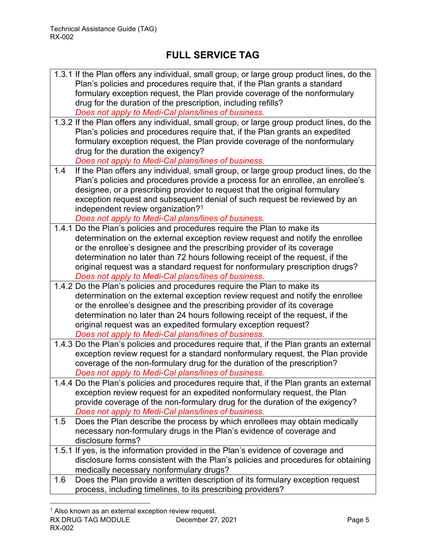|     | 1.3.1 If the Plan offers any individual, small group, or large group product lines, do the |
|-----|--------------------------------------------------------------------------------------------|
|     | Plan's policies and procedures require that, if the Plan grants a standard                 |
|     | formulary exception request, the Plan provide coverage of the nonformulary                 |
|     | drug for the duration of the prescription, including refills?                              |
|     | Does not apply to Medi-Cal plans/lines of business.                                        |
|     | 1.3.2 If the Plan offers any individual, small group, or large group product lines, do the |
|     | Plan's policies and procedures require that, if the Plan grants an expedited               |
|     | formulary exception request, the Plan provide coverage of the nonformulary                 |
|     | drug for the duration the exigency?                                                        |
|     | Does not apply to Medi-Cal plans/lines of business.                                        |
| 1.4 | If the Plan offers any individual, small group, or large group product lines, do the       |
|     | Plan's policies and procedures provide a process for an enrollee, an enrollee's            |
|     | designee, or a prescribing provider to request that the original formulary                 |
|     | exception request and subsequent denial of such request be reviewed by an                  |
|     | independent review organization? <sup>1</sup>                                              |
|     | Does not apply to Medi-Cal plans/lines of business.                                        |
|     | 1.4.1 Do the Plan's policies and procedures require the Plan to make its                   |
|     | determination on the external exception review request and notify the enrollee             |
|     | or the enrollee's designee and the prescribing provider of its coverage                    |
|     | determination no later than 72 hours following receipt of the request, if the              |
|     | original request was a standard request for nonformulary prescription drugs?               |
|     | Does not apply to Medi-Cal plans/lines of business.                                        |
|     | 1.4.2 Do the Plan's policies and procedures require the Plan to make its                   |
|     | determination on the external exception review request and notify the enrollee             |
|     | or the enrollee's designee and the prescribing provider of its coverage                    |
|     | determination no later than 24 hours following receipt of the request, if the              |
|     |                                                                                            |
|     | original request was an expedited formulary exception request?                             |
|     | Does not apply to Medi-Cal plans/lines of business.                                        |
|     | 1.4.3 Do the Plan's policies and procedures require that, if the Plan grants an external   |
|     | exception review request for a standard nonformulary request, the Plan provide             |
|     | coverage of the non-formulary drug for the duration of the prescription?                   |
|     | Does not apply to Medi-Cal plans/lines of business.                                        |
|     | 1.4.4 Do the Plan's policies and procedures require that, if the Plan grants an external   |
|     | exception review request for an expedited nonformulary request, the Plan                   |
|     | provide coverage of the non-formulary drug for the duration of the exigency?               |
|     | Does not apply to Medi-Cal plans/lines of business.                                        |
| 1.5 | Does the Plan describe the process by which enrollees may obtain medically                 |
|     | necessary non-formulary drugs in the Plan's evidence of coverage and                       |
|     | disclosure forms?                                                                          |
|     | 1.5.1 If yes, is the information provided in the Plan's evidence of coverage and           |
|     | disclosure forms consistent with the Plan's policies and procedures for obtaining          |
|     | medically necessary nonformulary drugs?                                                    |
| 1.6 | Does the Plan provide a written description of its formulary exception request             |

<span id="page-5-0"></span>RX DRUG TAG MODULE December 27, 2021 December 27, 2021 RX-002  $1$  Also known as an external exception review request.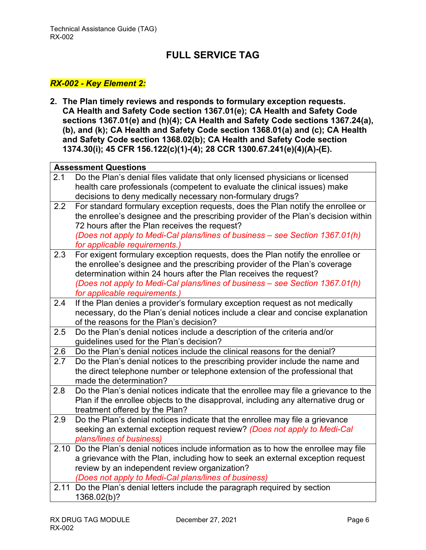### *RX-002 - Key Element 2:*

**2. The Plan timely reviews and responds to formulary exception requests. CA Health and Safety Code section 1367.01(e); CA Health and Safety Code sections 1367.01(e) and (h)(4); CA Health and Safety Code sections 1367.24(a), (b), and (k); CA Health and Safety Code section 1368.01(a) and (c); CA Health and Safety Code section 1368.02(b); CA Health and Safety Code section 1374.30(i); 45 CFR 156.122(c)(1)-(4); 28 CCR 1300.67.241(e)(4)(A)-(E).**

| Do the Plan's denial files validate that only licensed physicians or licensed<br>2.1<br>health care professionals (competent to evaluate the clinical issues) make<br>decisions to deny medically necessary non-formulary drugs?<br>2.2<br>For standard formulary exception requests, does the Plan notify the enrollee or<br>the enrollee's designee and the prescribing provider of the Plan's decision within<br>72 hours after the Plan receives the request?<br>(Does not apply to Medi-Cal plans/lines of business - see Section 1367.01(h)<br>for applicable requirements.)<br>For exigent formulary exception requests, does the Plan notify the enrollee or<br>2.3<br>the enrollee's designee and the prescribing provider of the Plan's coverage<br>determination within 24 hours after the Plan receives the request?<br>(Does not apply to Medi-Cal plans/lines of business - see Section 1367.01(h)<br>for applicable requirements.)<br>If the Plan denies a provider's formulary exception request as not medically<br>2.4<br>necessary, do the Plan's denial notices include a clear and concise explanation<br>of the reasons for the Plan's decision?<br>Do the Plan's denial notices include a description of the criteria and/or<br>2.5<br>guidelines used for the Plan's decision?<br>Do the Plan's denial notices include the clinical reasons for the denial?<br>2.6<br>Do the Plan's denial notices to the prescribing provider include the name and<br>2.7<br>the direct telephone number or telephone extension of the professional that<br>made the determination?<br>2.8<br>Do the Plan's denial notices indicate that the enrollee may file a grievance to the<br>Plan if the enrollee objects to the disapproval, including any alternative drug or<br>treatment offered by the Plan?<br>Do the Plan's denial notices indicate that the enrollee may file a grievance<br>2.9<br>seeking an external exception request review? (Does not apply to Medi-Cal<br>plans/lines of business)<br>2.10 Do the Plan's denial notices include information as to how the enrollee may file<br>a grievance with the Plan, including how to seek an external exception request<br>review by an independent review organization?<br>(Does not apply to Medi-Cal plans/lines of business)<br>Do the Plan's denial letters include the paragraph required by section<br>2.11<br>1368.02(b)? | <b>Assessment Questions</b> |  |
|---------------------------------------------------------------------------------------------------------------------------------------------------------------------------------------------------------------------------------------------------------------------------------------------------------------------------------------------------------------------------------------------------------------------------------------------------------------------------------------------------------------------------------------------------------------------------------------------------------------------------------------------------------------------------------------------------------------------------------------------------------------------------------------------------------------------------------------------------------------------------------------------------------------------------------------------------------------------------------------------------------------------------------------------------------------------------------------------------------------------------------------------------------------------------------------------------------------------------------------------------------------------------------------------------------------------------------------------------------------------------------------------------------------------------------------------------------------------------------------------------------------------------------------------------------------------------------------------------------------------------------------------------------------------------------------------------------------------------------------------------------------------------------------------------------------------------------------------------------------------------------------------------------------------------------------------------------------------------------------------------------------------------------------------------------------------------------------------------------------------------------------------------------------------------------------------------------------------------------------------------------------------------------------------------------------------------------------------------------------------------------------------------------|-----------------------------|--|
|                                                                                                                                                                                                                                                                                                                                                                                                                                                                                                                                                                                                                                                                                                                                                                                                                                                                                                                                                                                                                                                                                                                                                                                                                                                                                                                                                                                                                                                                                                                                                                                                                                                                                                                                                                                                                                                                                                                                                                                                                                                                                                                                                                                                                                                                                                                                                                                                         |                             |  |
|                                                                                                                                                                                                                                                                                                                                                                                                                                                                                                                                                                                                                                                                                                                                                                                                                                                                                                                                                                                                                                                                                                                                                                                                                                                                                                                                                                                                                                                                                                                                                                                                                                                                                                                                                                                                                                                                                                                                                                                                                                                                                                                                                                                                                                                                                                                                                                                                         |                             |  |
|                                                                                                                                                                                                                                                                                                                                                                                                                                                                                                                                                                                                                                                                                                                                                                                                                                                                                                                                                                                                                                                                                                                                                                                                                                                                                                                                                                                                                                                                                                                                                                                                                                                                                                                                                                                                                                                                                                                                                                                                                                                                                                                                                                                                                                                                                                                                                                                                         |                             |  |
|                                                                                                                                                                                                                                                                                                                                                                                                                                                                                                                                                                                                                                                                                                                                                                                                                                                                                                                                                                                                                                                                                                                                                                                                                                                                                                                                                                                                                                                                                                                                                                                                                                                                                                                                                                                                                                                                                                                                                                                                                                                                                                                                                                                                                                                                                                                                                                                                         |                             |  |
|                                                                                                                                                                                                                                                                                                                                                                                                                                                                                                                                                                                                                                                                                                                                                                                                                                                                                                                                                                                                                                                                                                                                                                                                                                                                                                                                                                                                                                                                                                                                                                                                                                                                                                                                                                                                                                                                                                                                                                                                                                                                                                                                                                                                                                                                                                                                                                                                         |                             |  |
|                                                                                                                                                                                                                                                                                                                                                                                                                                                                                                                                                                                                                                                                                                                                                                                                                                                                                                                                                                                                                                                                                                                                                                                                                                                                                                                                                                                                                                                                                                                                                                                                                                                                                                                                                                                                                                                                                                                                                                                                                                                                                                                                                                                                                                                                                                                                                                                                         |                             |  |
|                                                                                                                                                                                                                                                                                                                                                                                                                                                                                                                                                                                                                                                                                                                                                                                                                                                                                                                                                                                                                                                                                                                                                                                                                                                                                                                                                                                                                                                                                                                                                                                                                                                                                                                                                                                                                                                                                                                                                                                                                                                                                                                                                                                                                                                                                                                                                                                                         |                             |  |
|                                                                                                                                                                                                                                                                                                                                                                                                                                                                                                                                                                                                                                                                                                                                                                                                                                                                                                                                                                                                                                                                                                                                                                                                                                                                                                                                                                                                                                                                                                                                                                                                                                                                                                                                                                                                                                                                                                                                                                                                                                                                                                                                                                                                                                                                                                                                                                                                         |                             |  |
|                                                                                                                                                                                                                                                                                                                                                                                                                                                                                                                                                                                                                                                                                                                                                                                                                                                                                                                                                                                                                                                                                                                                                                                                                                                                                                                                                                                                                                                                                                                                                                                                                                                                                                                                                                                                                                                                                                                                                                                                                                                                                                                                                                                                                                                                                                                                                                                                         |                             |  |
|                                                                                                                                                                                                                                                                                                                                                                                                                                                                                                                                                                                                                                                                                                                                                                                                                                                                                                                                                                                                                                                                                                                                                                                                                                                                                                                                                                                                                                                                                                                                                                                                                                                                                                                                                                                                                                                                                                                                                                                                                                                                                                                                                                                                                                                                                                                                                                                                         |                             |  |
|                                                                                                                                                                                                                                                                                                                                                                                                                                                                                                                                                                                                                                                                                                                                                                                                                                                                                                                                                                                                                                                                                                                                                                                                                                                                                                                                                                                                                                                                                                                                                                                                                                                                                                                                                                                                                                                                                                                                                                                                                                                                                                                                                                                                                                                                                                                                                                                                         |                             |  |
|                                                                                                                                                                                                                                                                                                                                                                                                                                                                                                                                                                                                                                                                                                                                                                                                                                                                                                                                                                                                                                                                                                                                                                                                                                                                                                                                                                                                                                                                                                                                                                                                                                                                                                                                                                                                                                                                                                                                                                                                                                                                                                                                                                                                                                                                                                                                                                                                         |                             |  |
|                                                                                                                                                                                                                                                                                                                                                                                                                                                                                                                                                                                                                                                                                                                                                                                                                                                                                                                                                                                                                                                                                                                                                                                                                                                                                                                                                                                                                                                                                                                                                                                                                                                                                                                                                                                                                                                                                                                                                                                                                                                                                                                                                                                                                                                                                                                                                                                                         |                             |  |
|                                                                                                                                                                                                                                                                                                                                                                                                                                                                                                                                                                                                                                                                                                                                                                                                                                                                                                                                                                                                                                                                                                                                                                                                                                                                                                                                                                                                                                                                                                                                                                                                                                                                                                                                                                                                                                                                                                                                                                                                                                                                                                                                                                                                                                                                                                                                                                                                         |                             |  |
|                                                                                                                                                                                                                                                                                                                                                                                                                                                                                                                                                                                                                                                                                                                                                                                                                                                                                                                                                                                                                                                                                                                                                                                                                                                                                                                                                                                                                                                                                                                                                                                                                                                                                                                                                                                                                                                                                                                                                                                                                                                                                                                                                                                                                                                                                                                                                                                                         |                             |  |
|                                                                                                                                                                                                                                                                                                                                                                                                                                                                                                                                                                                                                                                                                                                                                                                                                                                                                                                                                                                                                                                                                                                                                                                                                                                                                                                                                                                                                                                                                                                                                                                                                                                                                                                                                                                                                                                                                                                                                                                                                                                                                                                                                                                                                                                                                                                                                                                                         |                             |  |
|                                                                                                                                                                                                                                                                                                                                                                                                                                                                                                                                                                                                                                                                                                                                                                                                                                                                                                                                                                                                                                                                                                                                                                                                                                                                                                                                                                                                                                                                                                                                                                                                                                                                                                                                                                                                                                                                                                                                                                                                                                                                                                                                                                                                                                                                                                                                                                                                         |                             |  |
|                                                                                                                                                                                                                                                                                                                                                                                                                                                                                                                                                                                                                                                                                                                                                                                                                                                                                                                                                                                                                                                                                                                                                                                                                                                                                                                                                                                                                                                                                                                                                                                                                                                                                                                                                                                                                                                                                                                                                                                                                                                                                                                                                                                                                                                                                                                                                                                                         |                             |  |
|                                                                                                                                                                                                                                                                                                                                                                                                                                                                                                                                                                                                                                                                                                                                                                                                                                                                                                                                                                                                                                                                                                                                                                                                                                                                                                                                                                                                                                                                                                                                                                                                                                                                                                                                                                                                                                                                                                                                                                                                                                                                                                                                                                                                                                                                                                                                                                                                         |                             |  |
|                                                                                                                                                                                                                                                                                                                                                                                                                                                                                                                                                                                                                                                                                                                                                                                                                                                                                                                                                                                                                                                                                                                                                                                                                                                                                                                                                                                                                                                                                                                                                                                                                                                                                                                                                                                                                                                                                                                                                                                                                                                                                                                                                                                                                                                                                                                                                                                                         |                             |  |
|                                                                                                                                                                                                                                                                                                                                                                                                                                                                                                                                                                                                                                                                                                                                                                                                                                                                                                                                                                                                                                                                                                                                                                                                                                                                                                                                                                                                                                                                                                                                                                                                                                                                                                                                                                                                                                                                                                                                                                                                                                                                                                                                                                                                                                                                                                                                                                                                         |                             |  |
|                                                                                                                                                                                                                                                                                                                                                                                                                                                                                                                                                                                                                                                                                                                                                                                                                                                                                                                                                                                                                                                                                                                                                                                                                                                                                                                                                                                                                                                                                                                                                                                                                                                                                                                                                                                                                                                                                                                                                                                                                                                                                                                                                                                                                                                                                                                                                                                                         |                             |  |
|                                                                                                                                                                                                                                                                                                                                                                                                                                                                                                                                                                                                                                                                                                                                                                                                                                                                                                                                                                                                                                                                                                                                                                                                                                                                                                                                                                                                                                                                                                                                                                                                                                                                                                                                                                                                                                                                                                                                                                                                                                                                                                                                                                                                                                                                                                                                                                                                         |                             |  |
|                                                                                                                                                                                                                                                                                                                                                                                                                                                                                                                                                                                                                                                                                                                                                                                                                                                                                                                                                                                                                                                                                                                                                                                                                                                                                                                                                                                                                                                                                                                                                                                                                                                                                                                                                                                                                                                                                                                                                                                                                                                                                                                                                                                                                                                                                                                                                                                                         |                             |  |
|                                                                                                                                                                                                                                                                                                                                                                                                                                                                                                                                                                                                                                                                                                                                                                                                                                                                                                                                                                                                                                                                                                                                                                                                                                                                                                                                                                                                                                                                                                                                                                                                                                                                                                                                                                                                                                                                                                                                                                                                                                                                                                                                                                                                                                                                                                                                                                                                         |                             |  |
|                                                                                                                                                                                                                                                                                                                                                                                                                                                                                                                                                                                                                                                                                                                                                                                                                                                                                                                                                                                                                                                                                                                                                                                                                                                                                                                                                                                                                                                                                                                                                                                                                                                                                                                                                                                                                                                                                                                                                                                                                                                                                                                                                                                                                                                                                                                                                                                                         |                             |  |
|                                                                                                                                                                                                                                                                                                                                                                                                                                                                                                                                                                                                                                                                                                                                                                                                                                                                                                                                                                                                                                                                                                                                                                                                                                                                                                                                                                                                                                                                                                                                                                                                                                                                                                                                                                                                                                                                                                                                                                                                                                                                                                                                                                                                                                                                                                                                                                                                         |                             |  |
|                                                                                                                                                                                                                                                                                                                                                                                                                                                                                                                                                                                                                                                                                                                                                                                                                                                                                                                                                                                                                                                                                                                                                                                                                                                                                                                                                                                                                                                                                                                                                                                                                                                                                                                                                                                                                                                                                                                                                                                                                                                                                                                                                                                                                                                                                                                                                                                                         |                             |  |
|                                                                                                                                                                                                                                                                                                                                                                                                                                                                                                                                                                                                                                                                                                                                                                                                                                                                                                                                                                                                                                                                                                                                                                                                                                                                                                                                                                                                                                                                                                                                                                                                                                                                                                                                                                                                                                                                                                                                                                                                                                                                                                                                                                                                                                                                                                                                                                                                         |                             |  |
|                                                                                                                                                                                                                                                                                                                                                                                                                                                                                                                                                                                                                                                                                                                                                                                                                                                                                                                                                                                                                                                                                                                                                                                                                                                                                                                                                                                                                                                                                                                                                                                                                                                                                                                                                                                                                                                                                                                                                                                                                                                                                                                                                                                                                                                                                                                                                                                                         |                             |  |
|                                                                                                                                                                                                                                                                                                                                                                                                                                                                                                                                                                                                                                                                                                                                                                                                                                                                                                                                                                                                                                                                                                                                                                                                                                                                                                                                                                                                                                                                                                                                                                                                                                                                                                                                                                                                                                                                                                                                                                                                                                                                                                                                                                                                                                                                                                                                                                                                         |                             |  |
|                                                                                                                                                                                                                                                                                                                                                                                                                                                                                                                                                                                                                                                                                                                                                                                                                                                                                                                                                                                                                                                                                                                                                                                                                                                                                                                                                                                                                                                                                                                                                                                                                                                                                                                                                                                                                                                                                                                                                                                                                                                                                                                                                                                                                                                                                                                                                                                                         |                             |  |
|                                                                                                                                                                                                                                                                                                                                                                                                                                                                                                                                                                                                                                                                                                                                                                                                                                                                                                                                                                                                                                                                                                                                                                                                                                                                                                                                                                                                                                                                                                                                                                                                                                                                                                                                                                                                                                                                                                                                                                                                                                                                                                                                                                                                                                                                                                                                                                                                         |                             |  |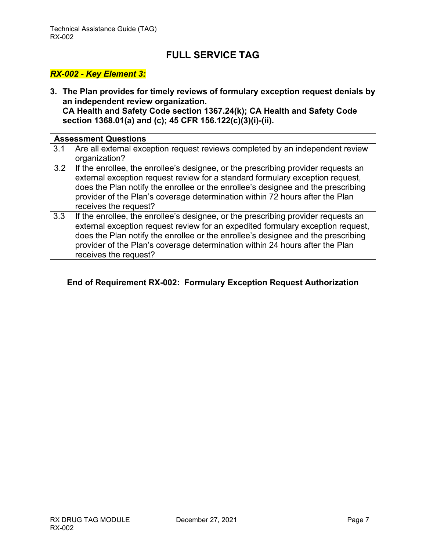#### *RX-002 - Key Element 3:*

**3. The Plan provides for timely reviews of formulary exception request denials by an independent review organization. CA Health and Safety Code section 1367.24(k); CA Health and Safety Code section 1368.01(a) and (c); 45 CFR 156.122(c)(3)(i)-(ii).**

|     | <b>Assessment Questions</b>                                                                                                                                                                                                                                                                                                                                     |
|-----|-----------------------------------------------------------------------------------------------------------------------------------------------------------------------------------------------------------------------------------------------------------------------------------------------------------------------------------------------------------------|
| 3.1 | Are all external exception request reviews completed by an independent review<br>organization?                                                                                                                                                                                                                                                                  |
| 3.2 | If the enrollee, the enrollee's designee, or the prescribing provider requests an<br>external exception request review for a standard formulary exception request,<br>does the Plan notify the enrollee or the enrollee's designee and the prescribing<br>provider of the Plan's coverage determination within 72 hours after the Plan<br>receives the request? |
| 3.3 | If the enrollee, the enrollee's designee, or the prescribing provider requests an<br>external exception request review for an expedited formulary exception request,<br>does the Plan notify the enrollee or the enrollee's designee and the prescribing<br>provider of the Plan's coverage determination within 24 hours after the Plan                        |

receives the request?

#### **End of Requirement RX-002: Formulary Exception Request Authorization**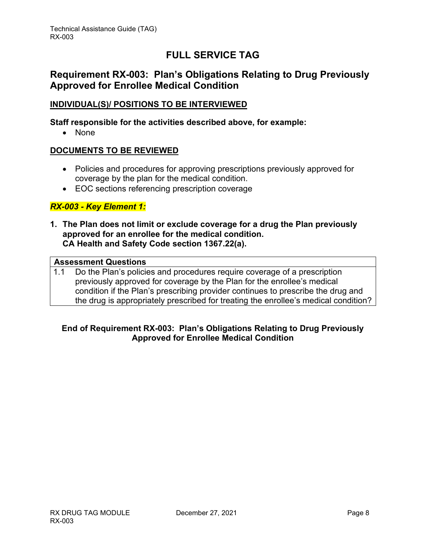### <span id="page-8-0"></span>**Requirement RX-003: Plan's Obligations Relating to Drug Previously Approved for Enrollee Medical Condition**

#### **INDIVIDUAL(S)/ POSITIONS TO BE INTERVIEWED**

#### **Staff responsible for the activities described above, for example:**

• None

#### **DOCUMENTS TO BE REVIEWED**

- Policies and procedures for approving prescriptions previously approved for coverage by the plan for the medical condition.
- EOC sections referencing prescription coverage

#### *RX-003 - Key Element 1:*

**1. The Plan does not limit or exclude coverage for a drug the Plan previously approved for an enrollee for the medical condition. CA Health and Safety Code section 1367.22(a).**

#### **Assessment Questions**

1.1 Do the Plan's policies and procedures require coverage of a prescription previously approved for coverage by the Plan for the enrollee's medical condition if the Plan's prescribing provider continues to prescribe the drug and the drug is appropriately prescribed for treating the enrollee's medical condition?

#### **End of Requirement RX-003: Plan's Obligations Relating to Drug Previously Approved for Enrollee Medical Condition**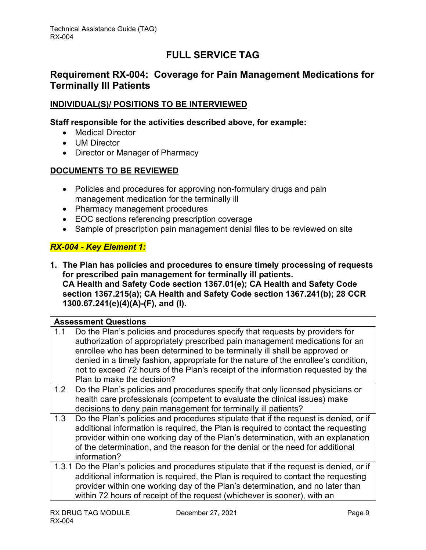### <span id="page-9-0"></span>**Requirement RX-004: Coverage for Pain Management Medications for Terminally Ill Patients**

#### **INDIVIDUAL(S)/ POSITIONS TO BE INTERVIEWED**

#### **Staff responsible for the activities described above, for example:**

- Medical Director
- UM Director
- Director or Manager of Pharmacy

#### **DOCUMENTS TO BE REVIEWED**

- Policies and procedures for approving non-formulary drugs and pain management medication for the terminally ill
- Pharmacy management procedures
- EOC sections referencing prescription coverage
- Sample of prescription pain management denial files to be reviewed on site

#### *RX-004 - Key Element 1:*

**1. The Plan has policies and procedures to ensure timely processing of requests for prescribed pain management for terminally ill patients. CA Health and Safety Code section 1367.01(e); CA Health and Safety Code section 1367.215(a); CA Health and Safety Code section 1367.241(b); 28 CCR 1300.67.241(e)(4)(A)-(F), and (l).**

### **Assessment Questions** 1.1 Do the Plan's policies and procedures specify that requests by providers for authorization of appropriately prescribed pain management medications for an enrollee who has been determined to be terminally ill shall be approved or denied in a timely fashion, appropriate for the nature of the enrollee's condition, not to exceed 72 hours of the Plan's receipt of the information requested by the Plan to make the decision? 1.2 Do the Plan's policies and procedures specify that only licensed physicians or health care professionals (competent to evaluate the clinical issues) make decisions to deny pain management for terminally ill patients? 1.3 Do the Plan's policies and procedures stipulate that if the request is denied, or if additional information is required, the Plan is required to contact the requesting provider within one working day of the Plan's determination, with an explanation of the determination, and the reason for the denial or the need for additional information? 1.3.1 Do the Plan's policies and procedures stipulate that if the request is denied, or if

additional information is required, the Plan is required to contact the requesting provider within one working day of the Plan's determination, and no later than within 72 hours of receipt of the request (whichever is sooner), with an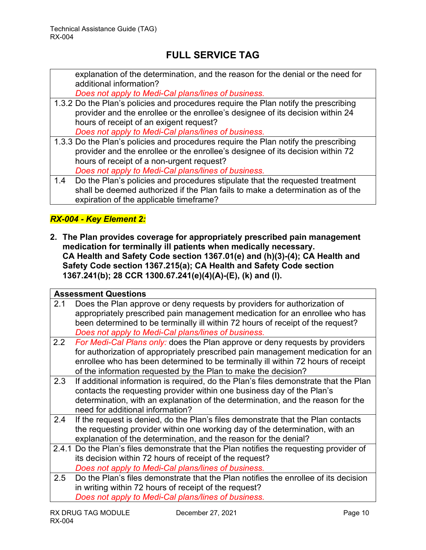explanation of the determination, and the reason for the denial or the need for additional information?

*Does not apply to Medi-Cal plans/lines of business.*

1.3.2 Do the Plan's policies and procedures require the Plan notify the prescribing provider and the enrollee or the enrollee's designee of its decision within 24 hours of receipt of an exigent request?

*Does not apply to Medi-Cal plans/lines of business.*

- 1.3.3 Do the Plan's policies and procedures require the Plan notify the prescribing provider and the enrollee or the enrollee's designee of its decision within 72 hours of receipt of a non-urgent request? *Does not apply to Medi-Cal plans/lines of business.*
- 1.4 Do the Plan's policies and procedures stipulate that the requested treatment shall be deemed authorized if the Plan fails to make a determination as of the expiration of the applicable timeframe?

### *RX-004 - Key Element 2:*

**2. The Plan provides coverage for appropriately prescribed pain management medication for terminally ill patients when medically necessary. CA Health and Safety Code section 1367.01(e) and (h)(3)-(4); CA Health and Safety Code section 1367.215(a); CA Health and Safety Code section 1367.241(b); 28 CCR 1300.67.241(e)(4)(A)-(E), (k) and (l).**

|     | <b>Assessment Questions</b>                                                                                                                                                                                                                                                                                           |
|-----|-----------------------------------------------------------------------------------------------------------------------------------------------------------------------------------------------------------------------------------------------------------------------------------------------------------------------|
| 2.1 | Does the Plan approve or deny requests by providers for authorization of<br>appropriately prescribed pain management medication for an enrollee who has<br>been determined to be terminally ill within 72 hours of receipt of the request?<br>Does not apply to Medi-Cal plans/lines of business.                     |
| 2.2 | For Medi-Cal Plans only: does the Plan approve or deny requests by providers<br>for authorization of appropriately prescribed pain management medication for an<br>enrollee who has been determined to be terminally ill within 72 hours of receipt<br>of the information requested by the Plan to make the decision? |
| 2.3 | If additional information is required, do the Plan's files demonstrate that the Plan<br>contacts the requesting provider within one business day of the Plan's<br>determination, with an explanation of the determination, and the reason for the<br>need for additional information?                                 |
| 2.4 | If the request is denied, do the Plan's files demonstrate that the Plan contacts<br>the requesting provider within one working day of the determination, with an<br>explanation of the determination, and the reason for the denial?                                                                                  |
|     | 2.4.1 Do the Plan's files demonstrate that the Plan notifies the requesting provider of<br>its decision within 72 hours of receipt of the request?<br>Does not apply to Medi-Cal plans/lines of business.                                                                                                             |
| 2.5 | Do the Plan's files demonstrate that the Plan notifies the enrollee of its decision<br>in writing within 72 hours of receipt of the request?<br>Does not apply to Medi-Cal plans/lines of business.                                                                                                                   |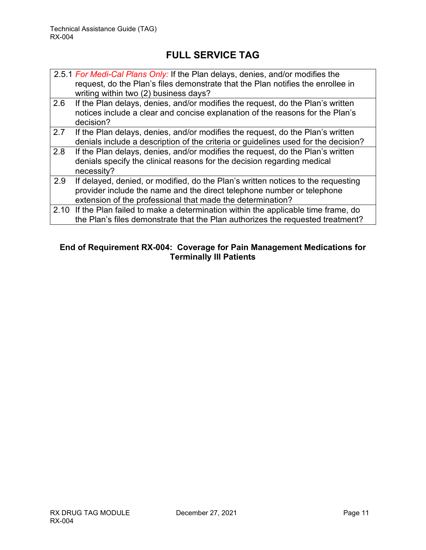|     | 2.5.1 For Medi-Cal Plans Only: If the Plan delays, denies, and/or modifies the<br>request, do the Plan's files demonstrate that the Plan notifies the enrollee in<br>writing within two (2) business days?               |
|-----|--------------------------------------------------------------------------------------------------------------------------------------------------------------------------------------------------------------------------|
| 2.6 | If the Plan delays, denies, and/or modifies the request, do the Plan's written<br>notices include a clear and concise explanation of the reasons for the Plan's<br>decision?                                             |
| 2.7 | If the Plan delays, denies, and/or modifies the request, do the Plan's written<br>denials include a description of the criteria or guidelines used for the decision?                                                     |
| 2.8 | If the Plan delays, denies, and/or modifies the request, do the Plan's written<br>denials specify the clinical reasons for the decision regarding medical<br>necessity?                                                  |
| 2.9 | If delayed, denied, or modified, do the Plan's written notices to the requesting<br>provider include the name and the direct telephone number or telephone<br>extension of the professional that made the determination? |
|     | 2.10 If the Plan failed to make a determination within the applicable time frame, do<br>the Plan's files demonstrate that the Plan authorizes the requested treatment?                                                   |

#### **End of Requirement RX-004: Coverage for Pain Management Medications for Terminally Ill Patients**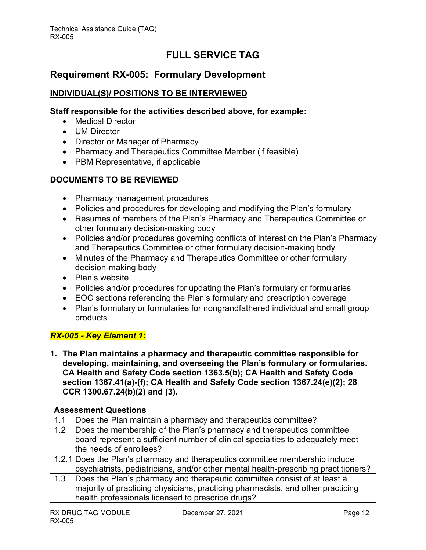### <span id="page-12-0"></span>**Requirement RX-005: Formulary Development**

#### **INDIVIDUAL(S)/ POSITIONS TO BE INTERVIEWED**

#### **Staff responsible for the activities described above, for example:**

- Medical Director
- UM Director
- Director or Manager of Pharmacy
- Pharmacy and Therapeutics Committee Member (if feasible)
- PBM Representative, if applicable

#### **DOCUMENTS TO BE REVIEWED**

- Pharmacy management procedures
- Policies and procedures for developing and modifying the Plan's formulary
- Resumes of members of the Plan's Pharmacy and Therapeutics Committee or other formulary decision-making body
- Policies and/or procedures governing conflicts of interest on the Plan's Pharmacy and Therapeutics Committee or other formulary decision-making body
- Minutes of the Pharmacy and Therapeutics Committee or other formulary decision-making body
- Plan's website
- Policies and/or procedures for updating the Plan's formulary or formularies
- EOC sections referencing the Plan's formulary and prescription coverage
- Plan's formulary or formularies for nongrandfathered individual and small group products

#### *RX-005 - Key Element 1:*

**1. The Plan maintains a pharmacy and therapeutic committee responsible for developing, maintaining, and overseeing the Plan's formulary or formularies. CA Health and Safety Code section 1363.5(b); CA Health and Safety Code section 1367.41(a)-(f); CA Health and Safety Code section 1367.24(e)(2); 28 CCR 1300.67.24(b)(2) and (3).**

|     | <b>Assessment Questions</b>                                                         |  |
|-----|-------------------------------------------------------------------------------------|--|
| 1.1 | Does the Plan maintain a pharmacy and therapeutics committee?                       |  |
| 1.2 | Does the membership of the Plan's pharmacy and therapeutics committee               |  |
|     | board represent a sufficient number of clinical specialties to adequately meet      |  |
|     | the needs of enrollees?                                                             |  |
|     | 1.2.1 Does the Plan's pharmacy and therapeutics committee membership include        |  |
|     | psychiatrists, pediatricians, and/or other mental health-prescribing practitioners? |  |
| 1.3 | Does the Plan's pharmacy and therapeutic committee consist of at least a            |  |
|     | majority of practicing physicians, practicing pharmacists, and other practicing     |  |
|     | health professionals licensed to prescribe drugs?                                   |  |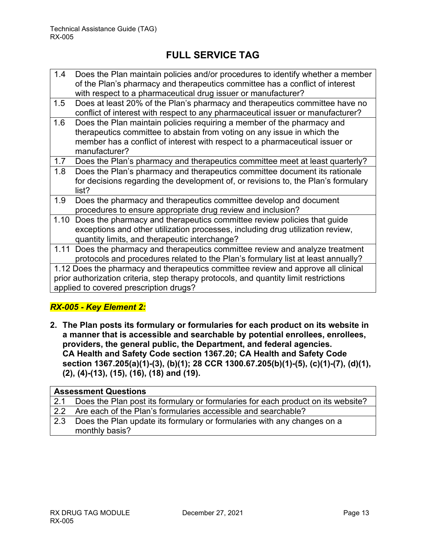| 1.4  | Does the Plan maintain policies and/or procedures to identify whether a member        |
|------|---------------------------------------------------------------------------------------|
|      | of the Plan's pharmacy and therapeutics committee has a conflict of interest          |
|      | with respect to a pharmaceutical drug issuer or manufacturer?                         |
| 1.5  | Does at least 20% of the Plan's pharmacy and therapeutics committee have no           |
|      | conflict of interest with respect to any pharmaceutical issuer or manufacturer?       |
| 1.6  | Does the Plan maintain policies requiring a member of the pharmacy and                |
|      | therapeutics committee to abstain from voting on any issue in which the               |
|      | member has a conflict of interest with respect to a pharmaceutical issuer or          |
|      | manufacturer?                                                                         |
| 1.7  | Does the Plan's pharmacy and therapeutics committee meet at least quarterly?          |
| 1.8  | Does the Plan's pharmacy and therapeutics committee document its rationale            |
|      | for decisions regarding the development of, or revisions to, the Plan's formulary     |
|      | list?                                                                                 |
| 1.9  | Does the pharmacy and therapeutics committee develop and document                     |
|      | procedures to ensure appropriate drug review and inclusion?                           |
| 1.10 | Does the pharmacy and therapeutics committee review policies that quide               |
|      | exceptions and other utilization processes, including drug utilization review,        |
|      | quantity limits, and therapeutic interchange?                                         |
|      | 1.11 Does the pharmacy and therapeutics committee review and analyze treatment        |
|      | protocols and procedures related to the Plan's formulary list at least annually?      |
|      | 1.12 Does the pharmacy and therapeutics committee review and approve all clinical     |
|      | prior authorization criteria, step therapy protocols, and quantity limit restrictions |
|      | applied to covered prescription drugs?                                                |
|      |                                                                                       |

### *RX-005 - Key Element 2:*

**2. The Plan posts its formulary or formularies for each product on its website in a manner that is accessible and searchable by potential enrollees, enrollees, providers, the general public, the Department, and federal agencies. CA Health and Safety Code section 1367.20; CA Health and Safety Code section 1367.205(a)(1)-(3), (b)(1); 28 CCR 1300.67.205(b)(1)-(5), (c)(1)-(7), (d)(1), (2), (4)-(13), (15), (16), (18) and (19).** 

| <b>Assessment Questions</b> |                                                                                  |
|-----------------------------|----------------------------------------------------------------------------------|
| 2.1                         | Does the Plan post its formulary or formularies for each product on its website? |
| 22                          | Are each of the Plan's formularies accessible and searchable?                    |
| 2.3                         | Does the Plan update its formulary or formularies with any changes on a          |
|                             | monthly basis?                                                                   |
|                             |                                                                                  |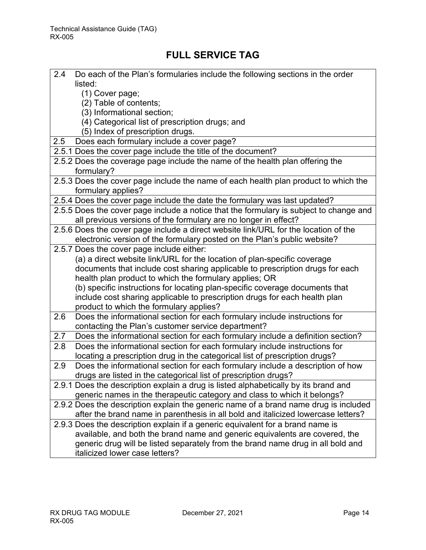| 2.4<br>Do each of the Plan's formularies include the following sections in the order   |
|----------------------------------------------------------------------------------------|
| listed:                                                                                |
| (1) Cover page;                                                                        |
| (2) Table of contents;                                                                 |
| (3) Informational section;                                                             |
| (4) Categorical list of prescription drugs; and                                        |
| (5) Index of prescription drugs.                                                       |
| Does each formulary include a cover page?<br>2.5                                       |
| 2.5.1 Does the cover page include the title of the document?                           |
| 2.5.2 Does the coverage page include the name of the health plan offering the          |
| formulary?                                                                             |
| 2.5.3 Does the cover page include the name of each health plan product to which the    |
| formulary applies?                                                                     |
| 2.5.4 Does the cover page include the date the formulary was last updated?             |
| 2.5.5 Does the cover page include a notice that the formulary is subject to change and |
| all previous versions of the formulary are no longer in effect?                        |
| 2.5.6 Does the cover page include a direct website link/URL for the location of the    |
| electronic version of the formulary posted on the Plan's public website?               |
| 2.5.7 Does the cover page include either:                                              |
| (a) a direct website link/URL for the location of plan-specific coverage               |
| documents that include cost sharing applicable to prescription drugs for each          |
| health plan product to which the formulary applies; OR                                 |
| (b) specific instructions for locating plan-specific coverage documents that           |
| include cost sharing applicable to prescription drugs for each health plan             |
| product to which the formulary applies?                                                |
| Does the informational section for each formulary include instructions for<br>2.6      |
| contacting the Plan's customer service department?                                     |
| 2.7<br>Does the informational section for each formulary include a definition section? |
| Does the informational section for each formulary include instructions for<br>2.8      |
| locating a prescription drug in the categorical list of prescription drugs?            |
| 2.9<br>Does the informational section for each formulary include a description of how  |
| drugs are listed in the categorical list of prescription drugs?                        |
| 2.9.1 Does the description explain a drug is listed alphabetically by its brand and    |
| generic names in the therapeutic category and class to which it belongs?               |
| 2.9.2 Does the description explain the generic name of a brand name drug is included   |
| after the brand name in parenthesis in all bold and italicized lowercase letters?      |
| 2.9.3 Does the description explain if a generic equivalent for a brand name is         |
| available, and both the brand name and generic equivalents are covered, the            |
| generic drug will be listed separately from the brand name drug in all bold and        |
| italicized lower case letters?                                                         |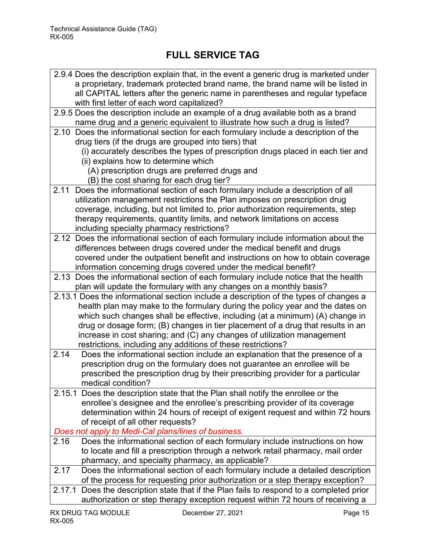| 2.9.4 Does the description explain that, in the event a generic drug is marketed under                                                          |
|-------------------------------------------------------------------------------------------------------------------------------------------------|
| a proprietary, trademark protected brand name, the brand name will be listed in                                                                 |
| all CAPITAL letters after the generic name in parentheses and regular typeface                                                                  |
| with first letter of each word capitalized?                                                                                                     |
| 2.9.5 Does the description include an example of a drug available both as a brand                                                               |
| name drug and a generic equivalent to illustrate how such a drug is listed?                                                                     |
| Does the informational section for each formulary include a description of the<br>2.10<br>drug tiers (if the drugs are grouped into tiers) that |
| (i) accurately describes the types of prescription drugs placed in each tier and                                                                |
| (ii) explains how to determine which                                                                                                            |
| (A) prescription drugs are preferred drugs and                                                                                                  |
| (B) the cost sharing for each drug tier?                                                                                                        |
| Does the informational section of each formulary include a description of all<br>2.11                                                           |
| utilization management restrictions the Plan imposes on prescription drug                                                                       |
| coverage, including, but not limited to, prior authorization requirements, step                                                                 |
| therapy requirements, quantity limits, and network limitations on access                                                                        |
| including specialty pharmacy restrictions?                                                                                                      |
| 2.12 Does the informational section of each formulary include information about the                                                             |
| differences between drugs covered under the medical benefit and drugs                                                                           |
| covered under the outpatient benefit and instructions on how to obtain coverage                                                                 |
| information concerning drugs covered under the medical benefit?                                                                                 |
| 2.13 Does the informational section of each formulary include notice that the health                                                            |
| plan will update the formulary with any changes on a monthly basis?                                                                             |
| 2.13.1 Does the informational section include a description of the types of changes a                                                           |
| health plan may make to the formulary during the policy year and the dates on                                                                   |
| which such changes shall be effective, including (at a minimum) (A) change in                                                                   |
| drug or dosage form; (B) changes in tier placement of a drug that results in an                                                                 |
| increase in cost sharing; and (C) any changes of utilization management                                                                         |
| restrictions, including any additions of these restrictions?                                                                                    |
| 2.14<br>Does the informational section include an explanation that the presence of a                                                            |
| prescription drug on the formulary does not guarantee an enrollee will be                                                                       |
| prescribed the prescription drug by their prescribing provider for a particular                                                                 |
| medical condition?                                                                                                                              |
| 2.15.1 Does the description state that the Plan shall notify the enrollee or the                                                                |
| enrollee's designee and the enrollee's prescribing provider of its coverage                                                                     |
| determination within 24 hours of receipt of exigent request and within 72 hours                                                                 |
| of receipt of all other requests?                                                                                                               |
| Does not apply to Medi-Cal plans/lines of business.                                                                                             |
| 2.16<br>Does the informational section of each formulary include instructions on how                                                            |
| to locate and fill a prescription through a network retail pharmacy, mail order                                                                 |
| pharmacy, and specialty pharmacy, as applicable?                                                                                                |
| 2.17<br>Does the informational section of each formulary include a detailed description                                                         |
| of the process for requesting prior authorization or a step therapy exception?                                                                  |
| 2.17.1 Does the description state that if the Plan fails to respond to a completed prior                                                        |
| authorization or step therapy exception request within 72 hours of receiving a                                                                  |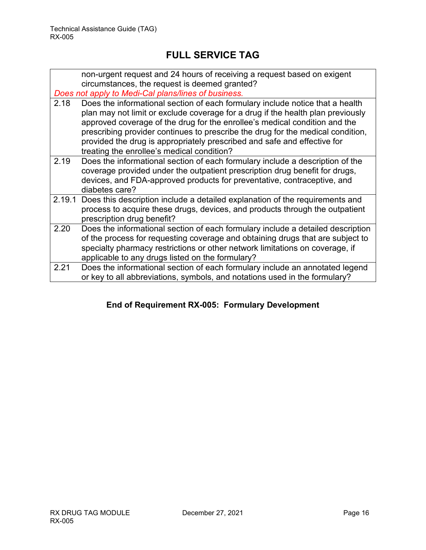|      | non-urgent request and 24 hours of receiving a request based on exigent<br>circumstances, the request is deemed granted?<br>Does not apply to Medi-Cal plans/lines of business.                                                                                                                                                                                                                                                                             |
|------|-------------------------------------------------------------------------------------------------------------------------------------------------------------------------------------------------------------------------------------------------------------------------------------------------------------------------------------------------------------------------------------------------------------------------------------------------------------|
| 2.18 | Does the informational section of each formulary include notice that a health<br>plan may not limit or exclude coverage for a drug if the health plan previously<br>approved coverage of the drug for the enrollee's medical condition and the<br>prescribing provider continues to prescribe the drug for the medical condition,<br>provided the drug is appropriately prescribed and safe and effective for<br>treating the enrollee's medical condition? |
| 2.19 | Does the informational section of each formulary include a description of the<br>coverage provided under the outpatient prescription drug benefit for drugs,<br>devices, and FDA-approved products for preventative, contraceptive, and<br>diabetes care?                                                                                                                                                                                                   |
|      | 2.19.1 Does this description include a detailed explanation of the requirements and<br>process to acquire these drugs, devices, and products through the outpatient<br>prescription drug benefit?                                                                                                                                                                                                                                                           |
| 2.20 | Does the informational section of each formulary include a detailed description<br>of the process for requesting coverage and obtaining drugs that are subject to<br>specialty pharmacy restrictions or other network limitations on coverage, if<br>applicable to any drugs listed on the formulary?                                                                                                                                                       |
| 2.21 | Does the informational section of each formulary include an annotated legend<br>or key to all abbreviations, symbols, and notations used in the formulary?                                                                                                                                                                                                                                                                                                  |

### **End of Requirement RX-005: Formulary Development**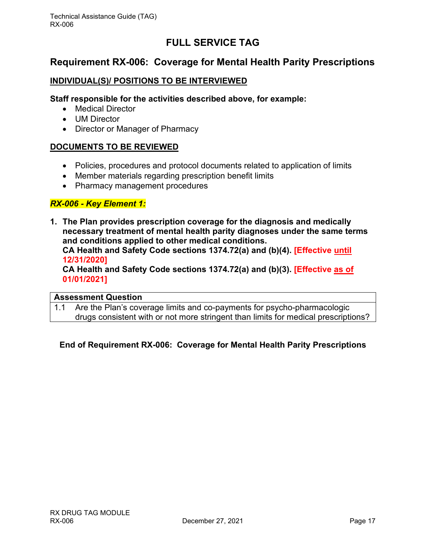### <span id="page-17-0"></span>**Requirement RX-006: Coverage for Mental Health Parity Prescriptions**

#### **INDIVIDUAL(S)/ POSITIONS TO BE INTERVIEWED**

#### **Staff responsible for the activities described above, for example:**

- Medical Director
- UM Director
- Director or Manager of Pharmacy

#### **DOCUMENTS TO BE REVIEWED**

- Policies, procedures and protocol documents related to application of limits
- Member materials regarding prescription benefit limits
- Pharmacy management procedures

#### *RX-006 - Key Element 1:*

**1. The Plan provides prescription coverage for the diagnosis and medically necessary treatment of mental health parity diagnoses under the same terms and conditions applied to other medical conditions.**

**CA Health and Safety Code sections 1374.72(a) and (b)(4). [Effective until 12/31/2020]**

**CA Health and Safety Code sections 1374.72(a) and (b)(3). [Effective as of 01/01/2021]**

#### **Assessment Question**

1.1 Are the Plan's coverage limits and co-payments for psycho-pharmacologic drugs consistent with or not more stringent than limits for medical prescriptions?

#### **End of Requirement RX-006: Coverage for Mental Health Parity Prescriptions**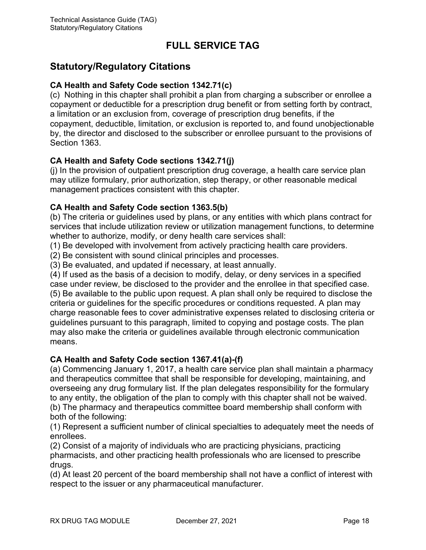### <span id="page-18-0"></span>**Statutory/Regulatory Citations**

#### **CA Health and Safety Code section 1342.71(c)**

(c) Nothing in this chapter shall prohibit a plan from charging a subscriber or enrollee a copayment or deductible for a prescription drug benefit or from setting forth by contract, a limitation or an exclusion from, coverage of prescription drug benefits, if the copayment, deductible, limitation, or exclusion is reported to, and found unobjectionable by, the director and disclosed to the subscriber or enrollee pursuant to the provisions of Section 1363.

#### **CA Health and Safety Code sections 1342.71(j)**

(j) In the provision of outpatient prescription drug coverage, a health care service plan may utilize formulary, prior authorization, step therapy, or other reasonable medical management practices consistent with this chapter.

#### **CA Health and Safety Code section 1363.5(b)**

(b) The criteria or guidelines used by plans, or any entities with which plans contract for services that include utilization review or utilization management functions, to determine whether to authorize, modify, or deny health care services shall:

(1) Be developed with involvement from actively practicing health care providers.

(2) Be consistent with sound clinical principles and processes.

(3) Be evaluated, and updated if necessary, at least annually.

(4) If used as the basis of a decision to modify, delay, or deny services in a specified case under review, be disclosed to the provider and the enrollee in that specified case. (5) Be available to the public upon request. A plan shall only be required to disclose the criteria or guidelines for the specific procedures or conditions requested. A plan may charge reasonable fees to cover administrative expenses related to disclosing criteria or guidelines pursuant to this paragraph, limited to copying and postage costs. The plan may also make the criteria or guidelines available through electronic communication means.

#### **CA Health and Safety Code section 1367.41(a)-(f)**

(a) Commencing January 1, 2017, a health care service plan shall maintain a pharmacy and therapeutics committee that shall be responsible for developing, maintaining, and overseeing any drug formulary list. If the plan delegates responsibility for the formulary to any entity, the obligation of the plan to comply with this chapter shall not be waived. (b) The pharmacy and therapeutics committee board membership shall conform with both of the following:

(1) Represent a sufficient number of clinical specialties to adequately meet the needs of enrollees.

(2) Consist of a majority of individuals who are practicing physicians, practicing pharmacists, and other practicing health professionals who are licensed to prescribe drugs.

(d) At least 20 percent of the board membership shall not have a conflict of interest with respect to the issuer or any pharmaceutical manufacturer.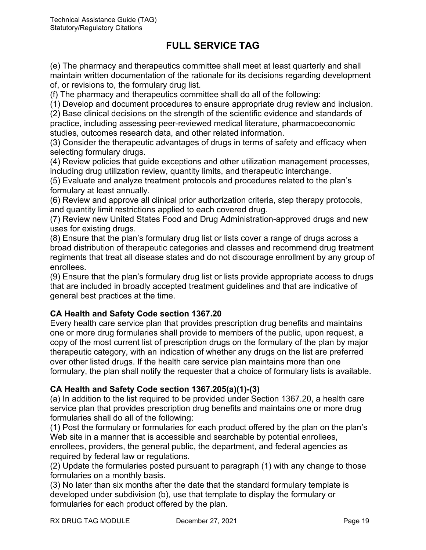(e) The pharmacy and therapeutics committee shall meet at least quarterly and shall maintain written documentation of the rationale for its decisions regarding development of, or revisions to, the formulary drug list.

(f) The pharmacy and therapeutics committee shall do all of the following:

(1) Develop and document procedures to ensure appropriate drug review and inclusion.

(2) Base clinical decisions on the strength of the scientific evidence and standards of practice, including assessing peer-reviewed medical literature, pharmacoeconomic studies, outcomes research data, and other related information.

(3) Consider the therapeutic advantages of drugs in terms of safety and efficacy when selecting formulary drugs.

(4) Review policies that guide exceptions and other utilization management processes, including drug utilization review, quantity limits, and therapeutic interchange.

(5) Evaluate and analyze treatment protocols and procedures related to the plan's formulary at least annually.

(6) Review and approve all clinical prior authorization criteria, step therapy protocols, and quantity limit restrictions applied to each covered drug.

(7) Review new United States Food and Drug Administration-approved drugs and new uses for existing drugs.

(8) Ensure that the plan's formulary drug list or lists cover a range of drugs across a broad distribution of therapeutic categories and classes and recommend drug treatment regiments that treat all disease states and do not discourage enrollment by any group of enrollees.

(9) Ensure that the plan's formulary drug list or lists provide appropriate access to drugs that are included in broadly accepted treatment guidelines and that are indicative of general best practices at the time.

#### **CA Health and Safety Code section 1367.20**

Every health care service plan that provides prescription drug benefits and maintains one or more drug formularies shall provide to members of the public, upon request, a copy of the most current list of prescription drugs on the formulary of the plan by major therapeutic category, with an indication of whether any drugs on the list are preferred over other listed drugs. If the health care service plan maintains more than one formulary, the plan shall notify the requester that a choice of formulary lists is available.

#### **CA Health and Safety Code section 1367.205(a)(1)-(3)**

(a) In addition to the list required to be provided under Section 1367.20, a health care service plan that provides prescription drug benefits and maintains one or more drug formularies shall do all of the following:

(1) Post the formulary or formularies for each product offered by the plan on the plan's Web site in a manner that is accessible and searchable by potential enrollees, enrollees, providers, the general public, the department, and federal agencies as required by federal law or regulations.

(2) Update the formularies posted pursuant to paragraph (1) with any change to those formularies on a monthly basis.

(3) No later than six months after the date that the standard formulary template is developed under subdivision (b), use that template to display the formulary or formularies for each product offered by the plan.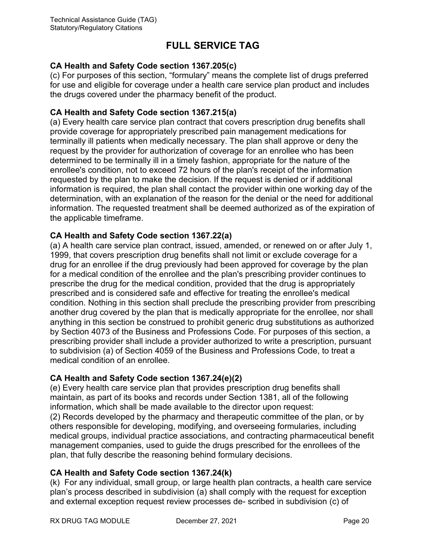#### **CA Health and Safety Code section 1367.205(c)**

(c) For purposes of this section, "formulary" means the complete list of drugs preferred for use and eligible for coverage under a health care service plan product and includes the drugs covered under the pharmacy benefit of the product.

#### **CA Health and Safety Code section 1367.215(a)**

(a) Every health care service plan contract that covers prescription drug benefits shall provide coverage for appropriately prescribed pain management medications for terminally ill patients when medically necessary. The plan shall approve or deny the request by the provider for authorization of coverage for an enrollee who has been determined to be terminally ill in a timely fashion, appropriate for the nature of the enrollee's condition, not to exceed 72 hours of the plan's receipt of the information requested by the plan to make the decision. If the request is denied or if additional information is required, the plan shall contact the provider within one working day of the determination, with an explanation of the reason for the denial or the need for additional information. The requested treatment shall be deemed authorized as of the expiration of the applicable timeframe.

#### **CA Health and Safety Code section 1367.22(a)**

(a) A health care service plan contract, issued, amended, or renewed on or after July 1, 1999, that covers prescription drug benefits shall not limit or exclude coverage for a drug for an enrollee if the drug previously had been approved for coverage by the plan for a medical condition of the enrollee and the plan's prescribing provider continues to prescribe the drug for the medical condition, provided that the drug is appropriately prescribed and is considered safe and effective for treating the enrollee's medical condition. Nothing in this section shall preclude the prescribing provider from prescribing another drug covered by the plan that is medically appropriate for the enrollee, nor shall anything in this section be construed to prohibit generic drug substitutions as authorized by Section 4073 of the Business and Professions Code. For purposes of this section, a prescribing provider shall include a provider authorized to write a prescription, pursuant to subdivision (a) of Section 4059 of the Business and Professions Code, to treat a medical condition of an enrollee.

#### **CA Health and Safety Code section 1367.24(e)(2)**

(e) Every health care service plan that provides prescription drug benefits shall maintain, as part of its books and records under Section 1381, all of the following information, which shall be made available to the director upon request: (2) Records developed by the pharmacy and therapeutic committee of the plan, or by others responsible for developing, modifying, and overseeing formularies, including medical groups, individual practice associations, and contracting pharmaceutical benefit management companies, used to guide the drugs prescribed for the enrollees of the plan, that fully describe the reasoning behind formulary decisions.

### **CA Health and Safety Code section 1367.24(k)**

(k) For any individual, small group, or large health plan contracts, a health care service plan's process described in subdivision (a) shall comply with the request for exception and external exception request review processes de- scribed in subdivision (c) of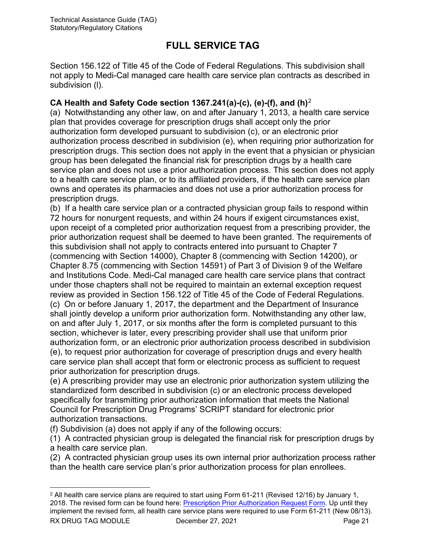Section 156.122 of Title 45 of the Code of Federal Regulations. This subdivision shall not apply to Medi-Cal managed care health care service plan contracts as described in subdivision (l).

#### **CA Health and Safety Code section 1367.241(a)-(c), (e)-(f), and (h)**[2](#page-21-0)

(a) Notwithstanding any other law, on and after January 1, 2013, a health care service plan that provides coverage for prescription drugs shall accept only the prior authorization form developed pursuant to subdivision (c), or an electronic prior authorization process described in subdivision (e), when requiring prior authorization for prescription drugs. This section does not apply in the event that a physician or physician group has been delegated the financial risk for prescription drugs by a health care service plan and does not use a prior authorization process. This section does not apply to a health care service plan, or to its affiliated providers, if the health care service plan owns and operates its pharmacies and does not use a prior authorization process for prescription drugs.

(b) If a health care service plan or a contracted physician group fails to respond within 72 hours for nonurgent requests, and within 24 hours if exigent circumstances exist, upon receipt of a completed prior authorization request from a prescribing provider, the prior authorization request shall be deemed to have been granted. The requirements of this subdivision shall not apply to contracts entered into pursuant to Chapter 7 (commencing with Section 14000), Chapter 8 (commencing with Section 14200), or Chapter 8.75 (commencing with Section 14591) of Part 3 of Division 9 of the Welfare and Institutions Code. Medi-Cal managed care health care service plans that contract under those chapters shall not be required to maintain an external exception request review as provided in Section 156.122 of Title 45 of the Code of Federal Regulations. (c) On or before January 1, 2017, the department and the Department of Insurance shall jointly develop a uniform prior authorization form. Notwithstanding any other law, on and after July 1, 2017, or six months after the form is completed pursuant to this section, whichever is later, every prescribing provider shall use that uniform prior authorization form, or an electronic prior authorization process described in subdivision (e), to request prior authorization for coverage of prescription drugs and every health care service plan shall accept that form or electronic process as sufficient to request prior authorization for prescription drugs.

(e) A prescribing provider may use an electronic prior authorization system utilizing the standardized form described in subdivision (c) or an electronic process developed specifically for transmitting prior authorization information that meets the National Council for Prescription Drug Programs' SCRIPT standard for electronic prior authorization transactions.

(f) Subdivision (a) does not apply if any of the following occurs:

(1) A contracted physician group is delegated the financial risk for prescription drugs by a health care service plan.

(2) A contracted physician group uses its own internal prior authorization process rather than the health care service plan's prior authorization process for plan enrollees.

<span id="page-21-0"></span>RX DRUG TAG MODULE December 27, 2021 Page 21  $2$  All health care service plans are required to start using Form 61-211 (Revised 12/16) by January 1, 2018. The revised form can be found here: [Prescription Prior Authorization Request Form.](http://www.dmhc.ca.gov/Portals/0/HealthCareInCalifornia/ResourcesForHealthCareProviders/Prescription_Prior_Authorization_Request_Form.pdf) Up until they implement the revised form, all health care service plans were required to use Form 61-211 (New 08/13).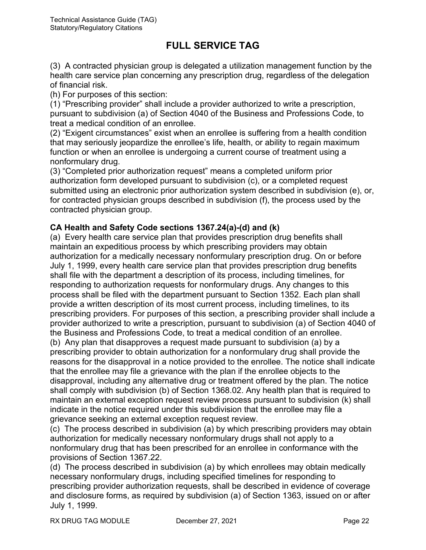(3) A contracted physician group is delegated a utilization management function by the health care service plan concerning any prescription drug, regardless of the delegation of financial risk.

(h) For purposes of this section:

(1) "Prescribing provider" shall include a provider authorized to write a prescription, pursuant to subdivision (a) of Section 4040 of the Business and Professions Code, to treat a medical condition of an enrollee.

(2) "Exigent circumstances" exist when an enrollee is suffering from a health condition that may seriously jeopardize the enrollee's life, health, or ability to regain maximum function or when an enrollee is undergoing a current course of treatment using a nonformulary drug.

(3) "Completed prior authorization request" means a completed uniform prior authorization form developed pursuant to subdivision (c), or a completed request submitted using an electronic prior authorization system described in subdivision (e), or, for contracted physician groups described in subdivision (f), the process used by the contracted physician group.

### **CA Health and Safety Code sections 1367.24(a)-(d) and (k)**

(a) Every health care service plan that provides prescription drug benefits shall maintain an expeditious process by which prescribing providers may obtain authorization for a medically necessary nonformulary prescription drug. On or before July 1, 1999, every health care service plan that provides prescription drug benefits shall file with the department a description of its process, including timelines, for responding to authorization requests for nonformulary drugs. Any changes to this process shall be filed with the department pursuant to Section 1352. Each plan shall provide a written description of its most current process, including timelines, to its prescribing providers. For purposes of this section, a prescribing provider shall include a provider authorized to write a prescription, pursuant to subdivision (a) of Section 4040 of the Business and Professions Code, to treat a medical condition of an enrollee. (b) Any plan that disapproves a request made pursuant to subdivision (a) by a prescribing provider to obtain authorization for a nonformulary drug shall provide the reasons for the disapproval in a notice provided to the enrollee. The notice shall indicate that the enrollee may file a grievance with the plan if the enrollee objects to the disapproval, including any alternative drug or treatment offered by the plan. The notice shall comply with subdivision (b) of Section 1368.02. Any health plan that is required to maintain an external exception request review process pursuant to subdivision (k) shall indicate in the notice required under this subdivision that the enrollee may file a grievance seeking an external exception request review.

(c) The process described in subdivision (a) by which prescribing providers may obtain authorization for medically necessary nonformulary drugs shall not apply to a nonformulary drug that has been prescribed for an enrollee in conformance with the provisions of Section 1367.22.

(d) The process described in subdivision (a) by which enrollees may obtain medically necessary nonformulary drugs, including specified timelines for responding to prescribing provider authorization requests, shall be described in evidence of coverage and disclosure forms, as required by subdivision (a) of Section 1363, issued on or after July 1, 1999.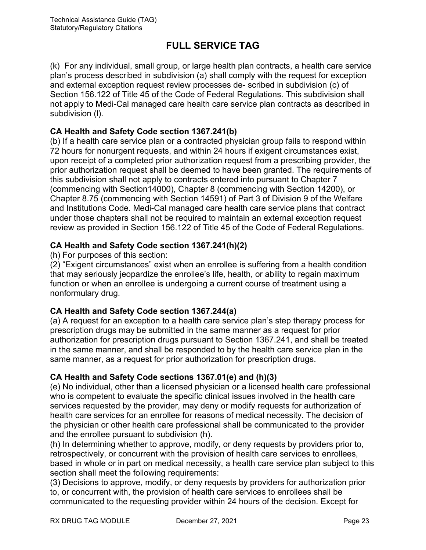(k) For any individual, small group, or large health plan contracts, a health care service plan's process described in subdivision (a) shall comply with the request for exception and external exception request review processes de- scribed in subdivision (c) of Section 156.122 of Title 45 of the Code of Federal Regulations. This subdivision shall not apply to Medi-Cal managed care health care service plan contracts as described in subdivision (l).

#### **CA Health and Safety Code section 1367.241(b)**

(b) If a health care service plan or a contracted physician group fails to respond within 72 hours for nonurgent requests, and within 24 hours if exigent circumstances exist, upon receipt of a completed prior authorization request from a prescribing provider, the prior authorization request shall be deemed to have been granted. The requirements of this subdivision shall not apply to contracts entered into pursuant to Chapter 7 (commencing with Section14000), Chapter 8 (commencing with Section 14200), or Chapter 8.75 (commencing with Section 14591) of Part 3 of Division 9 of the Welfare and Institutions Code. Medi-Cal managed care health care service plans that contract under those chapters shall not be required to maintain an external exception request review as provided in Section 156.122 of Title 45 of the Code of Federal Regulations.

#### **CA Health and Safety Code section 1367.241(h)(2)**

(h) For purposes of this section:

(2) "Exigent circumstances" exist when an enrollee is suffering from a health condition that may seriously jeopardize the enrollee's life, health, or ability to regain maximum function or when an enrollee is undergoing a current course of treatment using a nonformulary drug.

#### **CA Health and Safety Code section 1367.244(a)**

(a) A request for an exception to a health care service plan's step therapy process for prescription drugs may be submitted in the same manner as a request for prior authorization for prescription drugs pursuant to Section 1367.241, and shall be treated in the same manner, and shall be responded to by the health care service plan in the same manner, as a request for prior authorization for prescription drugs.

#### **CA Health and Safety Code sections 1367.01(e) and (h)(3)**

(e) No individual, other than a licensed physician or a licensed health care professional who is competent to evaluate the specific clinical issues involved in the health care services requested by the provider, may deny or modify requests for authorization of health care services for an enrollee for reasons of medical necessity. The decision of the physician or other health care professional shall be communicated to the provider and the enrollee pursuant to subdivision (h).

(h) In determining whether to approve, modify, or deny requests by providers prior to, retrospectively, or concurrent with the provision of health care services to enrollees, based in whole or in part on medical necessity, a health care service plan subject to this section shall meet the following requirements:

(3) Decisions to approve, modify, or deny requests by providers for authorization prior to, or concurrent with, the provision of health care services to enrollees shall be communicated to the requesting provider within 24 hours of the decision. Except for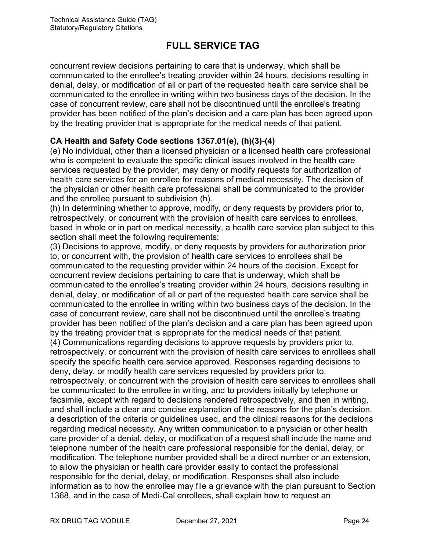concurrent review decisions pertaining to care that is underway, which shall be communicated to the enrollee's treating provider within 24 hours, decisions resulting in denial, delay, or modification of all or part of the requested health care service shall be communicated to the enrollee in writing within two business days of the decision. In the case of concurrent review, care shall not be discontinued until the enrollee's treating provider has been notified of the plan's decision and a care plan has been agreed upon by the treating provider that is appropriate for the medical needs of that patient.

#### **CA Health and Safety Code sections 1367.01(e), (h)(3)-(4)**

(e) No individual, other than a licensed physician or a licensed health care professional who is competent to evaluate the specific clinical issues involved in the health care services requested by the provider, may deny or modify requests for authorization of health care services for an enrollee for reasons of medical necessity. The decision of the physician or other health care professional shall be communicated to the provider and the enrollee pursuant to subdivision (h).

(h) In determining whether to approve, modify, or deny requests by providers prior to, retrospectively, or concurrent with the provision of health care services to enrollees, based in whole or in part on medical necessity, a health care service plan subject to this section shall meet the following requirements:

(3) Decisions to approve, modify, or deny requests by providers for authorization prior to, or concurrent with, the provision of health care services to enrollees shall be communicated to the requesting provider within 24 hours of the decision. Except for concurrent review decisions pertaining to care that is underway, which shall be communicated to the enrollee's treating provider within 24 hours, decisions resulting in denial, delay, or modification of all or part of the requested health care service shall be communicated to the enrollee in writing within two business days of the decision. In the case of concurrent review, care shall not be discontinued until the enrollee's treating provider has been notified of the plan's decision and a care plan has been agreed upon by the treating provider that is appropriate for the medical needs of that patient. (4) Communications regarding decisions to approve requests by providers prior to, retrospectively, or concurrent with the provision of health care services to enrollees shall specify the specific health care service approved. Responses regarding decisions to deny, delay, or modify health care services requested by providers prior to, retrospectively, or concurrent with the provision of health care services to enrollees shall be communicated to the enrollee in writing, and to providers initially by telephone or facsimile, except with regard to decisions rendered retrospectively, and then in writing, and shall include a clear and concise explanation of the reasons for the plan's decision, a description of the criteria or guidelines used, and the clinical reasons for the decisions regarding medical necessity. Any written communication to a physician or other health care provider of a denial, delay, or modification of a request shall include the name and telephone number of the health care professional responsible for the denial, delay, or modification. The telephone number provided shall be a direct number or an extension, to allow the physician or health care provider easily to contact the professional responsible for the denial, delay, or modification. Responses shall also include information as to how the enrollee may file a grievance with the plan pursuant to Section 1368, and in the case of Medi-Cal enrollees, shall explain how to request an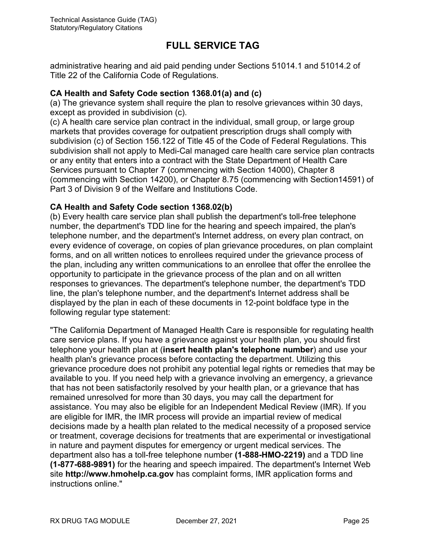administrative hearing and aid paid pending under Sections 51014.1 and 51014.2 of Title 22 of the California Code of Regulations.

#### **CA Health and Safety Code section 1368.01(a) and (c)**

(a) The grievance system shall require the plan to resolve grievances within 30 days, except as provided in subdivision (c).

(c) A health care service plan contract in the individual, small group, or large group markets that provides coverage for outpatient prescription drugs shall comply with subdivision (c) of Section 156.122 of Title 45 of the Code of Federal Regulations. This subdivision shall not apply to Medi-Cal managed care health care service plan contracts or any entity that enters into a contract with the State Department of Health Care Services pursuant to Chapter 7 (commencing with Section 14000), Chapter 8 (commencing with Section 14200), or Chapter 8.75 (commencing with Section14591) of Part 3 of Division 9 of the Welfare and Institutions Code.

#### **CA Health and Safety Code section 1368.02(b)**

(b) Every health care service plan shall publish the department's toll-free telephone number, the department's TDD line for the hearing and speech impaired, the plan's telephone number, and the department's Internet address, on every plan contract, on every evidence of coverage, on copies of plan grievance procedures, on plan complaint forms, and on all written notices to enrollees required under the grievance process of the plan, including any written communications to an enrollee that offer the enrollee the opportunity to participate in the grievance process of the plan and on all written responses to grievances. The department's telephone number, the department's TDD line, the plan's telephone number, and the department's Internet address shall be displayed by the plan in each of these documents in 12-point boldface type in the following regular type statement:

"The California Department of Managed Health Care is responsible for regulating health care service plans. If you have a grievance against your health plan, you should first telephone your health plan at (**insert health plan's telephone number**) and use your health plan's grievance process before contacting the department. Utilizing this grievance procedure does not prohibit any potential legal rights or remedies that may be available to you. If you need help with a grievance involving an emergency, a grievance that has not been satisfactorily resolved by your health plan, or a grievance that has remained unresolved for more than 30 days, you may call the department for assistance. You may also be eligible for an Independent Medical Review (IMR). If you are eligible for IMR, the IMR process will provide an impartial review of medical decisions made by a health plan related to the medical necessity of a proposed service or treatment, coverage decisions for treatments that are experimental or investigational in nature and payment disputes for emergency or urgent medical services. The department also has a toll-free telephone number **(1-888-HMO-2219)** and a TDD line **(1-877-688-9891)** for the hearing and speech impaired. The department's Internet Web site **http://www.hmohelp.ca.gov** has complaint forms, IMR application forms and instructions online."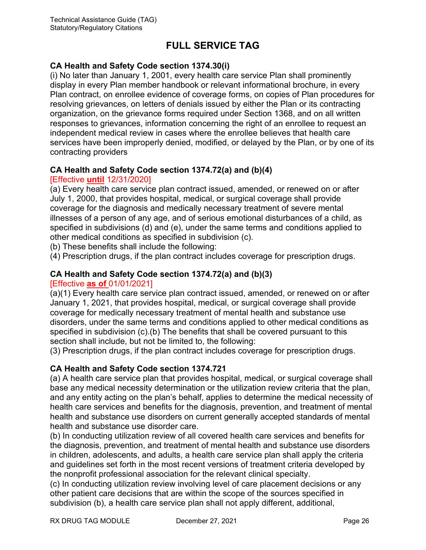#### **CA Health and Safety Code section 1374.30(i)**

(i) No later than January 1, 2001, every health care service Plan shall prominently display in every Plan member handbook or relevant informational brochure, in every Plan contract, on enrollee evidence of coverage forms, on copies of Plan procedures for resolving grievances, on letters of denials issued by either the Plan or its contracting organization, on the grievance forms required under Section 1368, and on all written responses to grievances, information concerning the right of an enrollee to request an independent medical review in cases where the enrollee believes that health care services have been improperly denied, modified, or delayed by the Plan, or by one of its contracting providers

#### **CA Health and Safety Code section 1374.72(a) and (b)(4)**

#### [Effective **until** 12/31/2020]

(a) Every health care service plan contract issued, amended, or renewed on or after July 1, 2000, that provides hospital, medical, or surgical coverage shall provide coverage for the diagnosis and medically necessary treatment of severe mental illnesses of a person of any age, and of serious emotional disturbances of a child, as specified in subdivisions (d) and (e), under the same terms and conditions applied to other medical conditions as specified in subdivision (c).

(b) These benefits shall include the following:

(4) Prescription drugs, if the plan contract includes coverage for prescription drugs.

### **CA Health and Safety Code section 1374.72(a) and (b)(3)**

#### [Effective **as of** 01/01/2021]

(a)(1) Every health care service plan contract issued, amended, or renewed on or after January 1, 2021, that provides hospital, medical, or surgical coverage shall provide coverage for medically necessary treatment of mental health and substance use disorders, under the same terms and conditions applied to other medical conditions as specified in subdivision (c).(b) The benefits that shall be covered pursuant to this section shall include, but not be limited to, the following:

(3) Prescription drugs, if the plan contract includes coverage for prescription drugs.

#### **CA Health and Safety Code section 1374.721**

(a) A health care service plan that provides hospital, medical, or surgical coverage shall base any medical necessity determination or the utilization review criteria that the plan, and any entity acting on the plan's behalf, applies to determine the medical necessity of health care services and benefits for the diagnosis, prevention, and treatment of mental health and substance use disorders on current generally accepted standards of mental health and substance use disorder care.

(b) In conducting utilization review of all covered health care services and benefits for the diagnosis, prevention, and treatment of mental health and substance use disorders in children, adolescents, and adults, a health care service plan shall apply the criteria and guidelines set forth in the most recent versions of treatment criteria developed by the nonprofit professional association for the relevant clinical specialty.

(c) In conducting utilization review involving level of care placement decisions or any other patient care decisions that are within the scope of the sources specified in subdivision (b), a health care service plan shall not apply different, additional,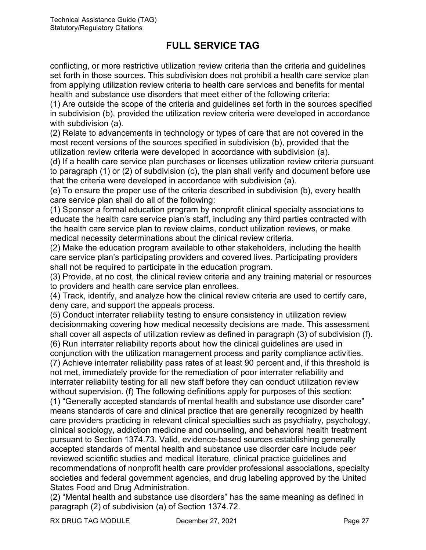conflicting, or more restrictive utilization review criteria than the criteria and guidelines set forth in those sources. This subdivision does not prohibit a health care service plan from applying utilization review criteria to health care services and benefits for mental health and substance use disorders that meet either of the following criteria:

(1) Are outside the scope of the criteria and guidelines set forth in the sources specified in subdivision (b), provided the utilization review criteria were developed in accordance with subdivision (a).

(2) Relate to advancements in technology or types of care that are not covered in the most recent versions of the sources specified in subdivision (b), provided that the utilization review criteria were developed in accordance with subdivision (a).

(d) If a health care service plan purchases or licenses utilization review criteria pursuant to paragraph (1) or (2) of subdivision (c), the plan shall verify and document before use that the criteria were developed in accordance with subdivision (a).

(e) To ensure the proper use of the criteria described in subdivision (b), every health care service plan shall do all of the following:

(1) Sponsor a formal education program by nonprofit clinical specialty associations to educate the health care service plan's staff, including any third parties contracted with the health care service plan to review claims, conduct utilization reviews, or make medical necessity determinations about the clinical review criteria.

(2) Make the education program available to other stakeholders, including the health care service plan's participating providers and covered lives. Participating providers shall not be required to participate in the education program.

(3) Provide, at no cost, the clinical review criteria and any training material or resources to providers and health care service plan enrollees.

(4) Track, identify, and analyze how the clinical review criteria are used to certify care, deny care, and support the appeals process.

(5) Conduct interrater reliability testing to ensure consistency in utilization review decisionmaking covering how medical necessity decisions are made. This assessment shall cover all aspects of utilization review as defined in paragraph (3) of subdivision (f). (6) Run interrater reliability reports about how the clinical guidelines are used in

conjunction with the utilization management process and parity compliance activities. (7) Achieve interrater reliability pass rates of at least 90 percent and, if this threshold is not met, immediately provide for the remediation of poor interrater reliability and interrater reliability testing for all new staff before they can conduct utilization review without supervision. (f) The following definitions apply for purposes of this section:

(1) "Generally accepted standards of mental health and substance use disorder care" means standards of care and clinical practice that are generally recognized by health care providers practicing in relevant clinical specialties such as psychiatry, psychology, clinical sociology, addiction medicine and counseling, and behavioral health treatment pursuant to Section 1374.73. Valid, evidence-based sources establishing generally accepted standards of mental health and substance use disorder care include peer reviewed scientific studies and medical literature, clinical practice guidelines and recommendations of nonprofit health care provider professional associations, specialty societies and federal government agencies, and drug labeling approved by the United States Food and Drug Administration.

(2) "Mental health and substance use disorders" has the same meaning as defined in paragraph (2) of subdivision (a) of Section 1374.72.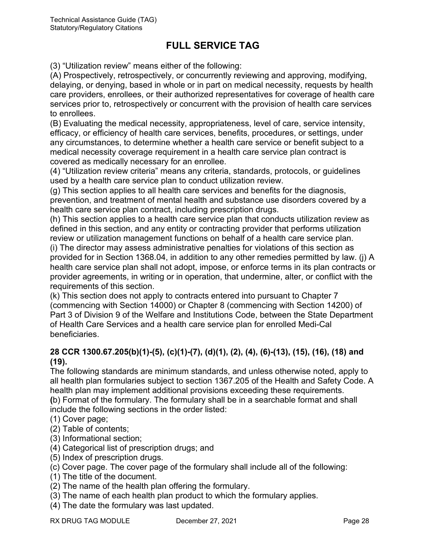(3) "Utilization review" means either of the following:

(A) Prospectively, retrospectively, or concurrently reviewing and approving, modifying, delaying, or denying, based in whole or in part on medical necessity, requests by health care providers, enrollees, or their authorized representatives for coverage of health care services prior to, retrospectively or concurrent with the provision of health care services to enrollees.

(B) Evaluating the medical necessity, appropriateness, level of care, service intensity, efficacy, or efficiency of health care services, benefits, procedures, or settings, under any circumstances, to determine whether a health care service or benefit subject to a medical necessity coverage requirement in a health care service plan contract is covered as medically necessary for an enrollee.

(4) "Utilization review criteria" means any criteria, standards, protocols, or guidelines used by a health care service plan to conduct utilization review.

(g) This section applies to all health care services and benefits for the diagnosis, prevention, and treatment of mental health and substance use disorders covered by a health care service plan contract, including prescription drugs.

(h) This section applies to a health care service plan that conducts utilization review as defined in this section, and any entity or contracting provider that performs utilization review or utilization management functions on behalf of a health care service plan.

(i) The director may assess administrative penalties for violations of this section as provided for in Section 1368.04, in addition to any other remedies permitted by law. (j) A health care service plan shall not adopt, impose, or enforce terms in its plan contracts or provider agreements, in writing or in operation, that undermine, alter, or conflict with the requirements of this section.

(k) This section does not apply to contracts entered into pursuant to Chapter 7 (commencing with Section 14000) or Chapter 8 (commencing with Section 14200) of Part 3 of Division 9 of the Welfare and Institutions Code, between the State Department of Health Care Services and a health care service plan for enrolled Medi-Cal beneficiaries.

#### **28 CCR 1300.67.205(b)(1)-(5), (c)(1)-(7), (d)(1), (2), (4), (6)-(13), (15), (16), (18) and (19).**

The following standards are minimum standards, and unless otherwise noted, apply to all health plan formularies subject to section 1367.205 of the Health and Safety Code. A health plan may implement additional provisions exceeding these requirements. **(**b) Format of the formulary. The formulary shall be in a searchable format and shall include the following sections in the order listed:

(1) Cover page;

- (2) Table of contents;
- (3) Informational section;
- (4) Categorical list of prescription drugs; and
- (5) Index of prescription drugs.
- (c) Cover page. The cover page of the formulary shall include all of the following:
- (1) The title of the document.
- (2) The name of the health plan offering the formulary.
- (3) The name of each health plan product to which the formulary applies.
- (4) The date the formulary was last updated.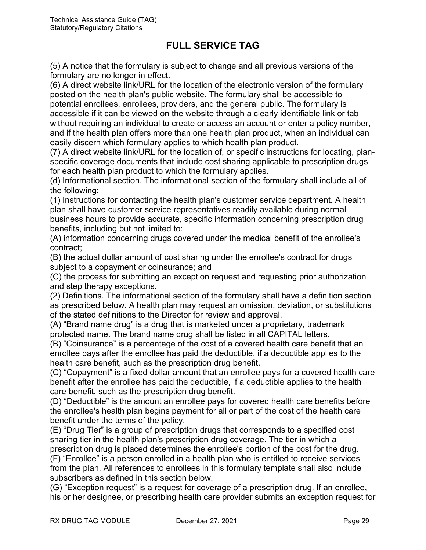(5) A notice that the formulary is subject to change and all previous versions of the formulary are no longer in effect.

(6) A direct website link/URL for the location of the electronic version of the formulary posted on the health plan's public website. The formulary shall be accessible to potential enrollees, enrollees, providers, and the general public. The formulary is accessible if it can be viewed on the website through a clearly identifiable link or tab without requiring an individual to create or access an account or enter a policy number, and if the health plan offers more than one health plan product, when an individual can easily discern which formulary applies to which health plan product.

(7) A direct website link/URL for the location of, or specific instructions for locating, planspecific coverage documents that include cost sharing applicable to prescription drugs for each health plan product to which the formulary applies.

(d) Informational section. The informational section of the formulary shall include all of the following:

(1) Instructions for contacting the health plan's customer service department. A health plan shall have customer service representatives readily available during normal business hours to provide accurate, specific information concerning prescription drug benefits, including but not limited to:

(A) information concerning drugs covered under the medical benefit of the enrollee's contract;

(B) the actual dollar amount of cost sharing under the enrollee's contract for drugs subject to a copayment or coinsurance; and

(C) the process for submitting an exception request and requesting prior authorization and step therapy exceptions.

(2) Definitions. The informational section of the formulary shall have a definition section as prescribed below. A health plan may request an omission, deviation, or substitutions of the stated definitions to the Director for review and approval.

(A) "Brand name drug" is a drug that is marketed under a proprietary, trademark protected name. The brand name drug shall be listed in all CAPITAL letters.

(B) "Coinsurance" is a percentage of the cost of a covered health care benefit that an enrollee pays after the enrollee has paid the deductible, if a deductible applies to the health care benefit, such as the prescription drug benefit.

(C) "Copayment" is a fixed dollar amount that an enrollee pays for a covered health care benefit after the enrollee has paid the deductible, if a deductible applies to the health care benefit, such as the prescription drug benefit.

(D) "Deductible" is the amount an enrollee pays for covered health care benefits before the enrollee's health plan begins payment for all or part of the cost of the health care benefit under the terms of the policy.

(E) "Drug Tier" is a group of prescription drugs that corresponds to a specified cost sharing tier in the health plan's prescription drug coverage. The tier in which a prescription drug is placed determines the enrollee's portion of the cost for the drug.

(F) "Enrollee" is a person enrolled in a health plan who is entitled to receive services from the plan. All references to enrollees in this formulary template shall also include subscribers as defined in this section below.

(G) "Exception request" is a request for coverage of a prescription drug. If an enrollee, his or her designee, or prescribing health care provider submits an exception request for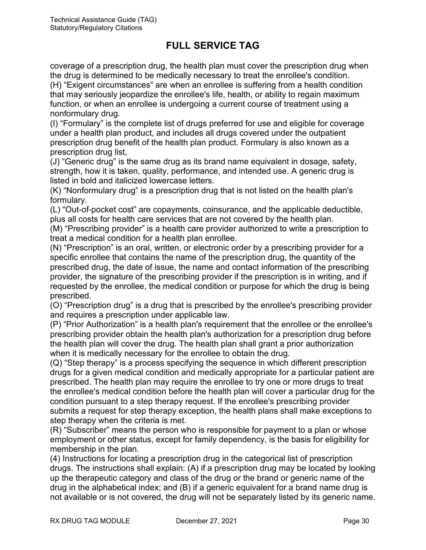coverage of a prescription drug, the health plan must cover the prescription drug when the drug is determined to be medically necessary to treat the enrollee's condition.

(H) "Exigent circumstances" are when an enrollee is suffering from a health condition that may seriously jeopardize the enrollee's life, health, or ability to regain maximum function, or when an enrollee is undergoing a current course of treatment using a nonformulary drug.

(I) "Formulary" is the complete list of drugs preferred for use and eligible for coverage under a health plan product, and includes all drugs covered under the outpatient prescription drug benefit of the health plan product. Formulary is also known as a prescription drug list,

(J) "Generic drug" is the same drug as its brand name equivalent in dosage, safety, strength, how it is taken, quality, performance, and intended use. A generic drug is listed in bold and italicized lowercase letters.

(K) "Nonformulary drug" is a prescription drug that is not listed on the health plan's formulary.

(L) "Out-of-pocket cost" are copayments, coinsurance, and the applicable deductible, plus all costs for health care services that are not covered by the health plan.

(M) "Prescribing provider" is a health care provider authorized to write a prescription to treat a medical condition for a health plan enrollee.

(N) "Prescription" is an oral, written, or electronic order by a prescribing provider for a specific enrollee that contains the name of the prescription drug, the quantity of the prescribed drug, the date of issue, the name and contact information of the prescribing provider, the signature of the prescribing provider if the prescription is in writing, and if requested by the enrollee, the medical condition or purpose for which the drug is being prescribed.

(O) "Prescription drug" is a drug that is prescribed by the enrollee's prescribing provider and requires a prescription under applicable law.

(P) "Prior Authorization" is a health plan's requirement that the enrollee or the enrollee's prescribing provider obtain the health plan's authorization for a prescription drug before the health plan will cover the drug. The health plan shall grant a prior authorization when it is medically necessary for the enrollee to obtain the drug.

(Q) "Step therapy" is a process specifying the sequence in which different prescription drugs for a given medical condition and medically appropriate for a particular patient are prescribed. The health plan may require the enrollee to try one or more drugs to treat the enrollee's medical condition before the health plan will cover a particular drug for the condition pursuant to a step therapy request. If the enrollee's prescribing provider submits a request for step therapy exception, the health plans shall make exceptions to step therapy when the criteria is met.

(R) "Subscriber" means the person who is responsible for payment to a plan or whose employment or other status, except for family dependency, is the basis for eligibility for membership in the plan.

(4) Instructions for locating a prescription drug in the categorical list of prescription drugs. The instructions shall explain: (A) if a prescription drug may be located by looking up the therapeutic category and class of the drug or the brand or generic name of the drug in the alphabetical index; and (B) if a generic equivalent for a brand name drug is not available or is not covered, the drug will not be separately listed by its generic name.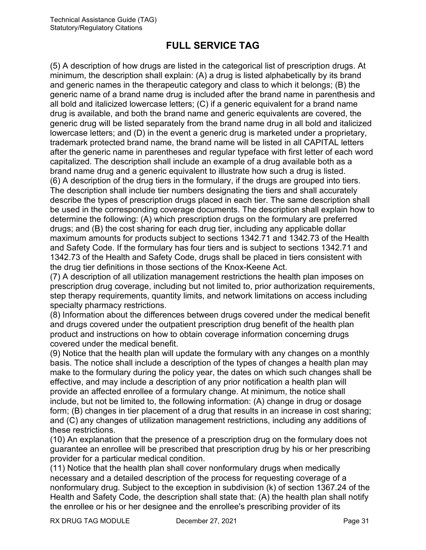(5) A description of how drugs are listed in the categorical list of prescription drugs. At minimum, the description shall explain: (A) a drug is listed alphabetically by its brand and generic names in the therapeutic category and class to which it belongs; (B) the generic name of a brand name drug is included after the brand name in parenthesis and all bold and italicized lowercase letters; (C) if a generic equivalent for a brand name drug is available, and both the brand name and generic equivalents are covered, the generic drug will be listed separately from the brand name drug in all bold and italicized lowercase letters; and (D) in the event a generic drug is marketed under a proprietary, trademark protected brand name, the brand name will be listed in all CAPITAL letters after the generic name in parentheses and regular typeface with first letter of each word capitalized. The description shall include an example of a drug available both as a brand name drug and a generic equivalent to illustrate how such a drug is listed. (6) A description of the drug tiers in the formulary, if the drugs are grouped into tiers.

The description shall include tier numbers designating the tiers and shall accurately describe the types of prescription drugs placed in each tier. The same description shall be used in the corresponding coverage documents. The description shall explain how to determine the following: (A) which prescription drugs on the formulary are preferred drugs; and (B) the cost sharing for each drug tier, including any applicable dollar maximum amounts for products subject to sections 1342.71 and 1342.73 of the Health and Safety Code. If the formulary has four tiers and is subject to sections 1342.71 and 1342.73 of the Health and Safety Code, drugs shall be placed in tiers consistent with the drug tier definitions in those sections of the Knox-Keene Act.

(7) A description of all utilization management restrictions the health plan imposes on prescription drug coverage, including but not limited to, prior authorization requirements, step therapy requirements, quantity limits, and network limitations on access including specialty pharmacy restrictions.

(8) Information about the differences between drugs covered under the medical benefit and drugs covered under the outpatient prescription drug benefit of the health plan product and instructions on how to obtain coverage information concerning drugs covered under the medical benefit.

(9) Notice that the health plan will update the formulary with any changes on a monthly basis. The notice shall include a description of the types of changes a health plan may make to the formulary during the policy year, the dates on which such changes shall be effective, and may include a description of any prior notification a health plan will provide an affected enrollee of a formulary change. At minimum, the notice shall include, but not be limited to, the following information: (A) change in drug or dosage form; (B) changes in tier placement of a drug that results in an increase in cost sharing; and (C) any changes of utilization management restrictions, including any additions of these restrictions.

(10) An explanation that the presence of a prescription drug on the formulary does not guarantee an enrollee will be prescribed that prescription drug by his or her prescribing provider for a particular medical condition.

(11) Notice that the health plan shall cover nonformulary drugs when medically necessary and a detailed description of the process for requesting coverage of a nonformulary drug. Subject to the exception in subdivision (k) of section 1367.24 of the Health and Safety Code, the description shall state that: (A) the health plan shall notify the enrollee or his or her designee and the enrollee's prescribing provider of its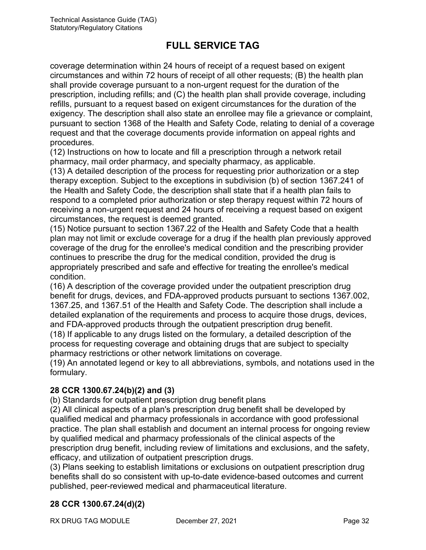coverage determination within 24 hours of receipt of a request based on exigent circumstances and within 72 hours of receipt of all other requests; (B) the health plan shall provide coverage pursuant to a non-urgent request for the duration of the prescription, including refills; and (C) the health plan shall provide coverage, including refills, pursuant to a request based on exigent circumstances for the duration of the exigency. The description shall also state an enrollee may file a grievance or complaint, pursuant to section 1368 of the Health and Safety Code, relating to denial of a coverage request and that the coverage documents provide information on appeal rights and procedures.

(12) Instructions on how to locate and fill a prescription through a network retail pharmacy, mail order pharmacy, and specialty pharmacy, as applicable.

(13) A detailed description of the process for requesting prior authorization or a step therapy exception. Subject to the exceptions in subdivision (b) of section 1367.241 of the Health and Safety Code, the description shall state that if a health plan fails to respond to a completed prior authorization or step therapy request within 72 hours of receiving a non-urgent request and 24 hours of receiving a request based on exigent circumstances, the request is deemed granted.

(15) Notice pursuant to section 1367.22 of the Health and Safety Code that a health plan may not limit or exclude coverage for a drug if the health plan previously approved coverage of the drug for the enrollee's medical condition and the prescribing provider continues to prescribe the drug for the medical condition, provided the drug is appropriately prescribed and safe and effective for treating the enrollee's medical condition.

(16) A description of the coverage provided under the outpatient prescription drug benefit for drugs, devices, and FDA-approved products pursuant to sections 1367.002, 1367.25, and 1367.51 of the Health and Safety Code. The description shall include a detailed explanation of the requirements and process to acquire those drugs, devices, and FDA-approved products through the outpatient prescription drug benefit.

(18) If applicable to any drugs listed on the formulary, a detailed description of the process for requesting coverage and obtaining drugs that are subject to specialty pharmacy restrictions or other network limitations on coverage.

(19) An annotated legend or key to all abbreviations, symbols, and notations used in the formulary.

### **28 CCR 1300.67.24(b)(2) and (3)**

(b) Standards for outpatient prescription drug benefit plans

(2) All clinical aspects of a plan's prescription drug benefit shall be developed by qualified medical and pharmacy professionals in accordance with good professional practice. The plan shall establish and document an internal process for ongoing review by qualified medical and pharmacy professionals of the clinical aspects of the prescription drug benefit, including review of limitations and exclusions, and the safety, efficacy, and utilization of outpatient prescription drugs.

(3) Plans seeking to establish limitations or exclusions on outpatient prescription drug benefits shall do so consistent with up-to-date evidence-based outcomes and current published, peer-reviewed medical and pharmaceutical literature.

### **28 CCR 1300.67.24(d)(2)**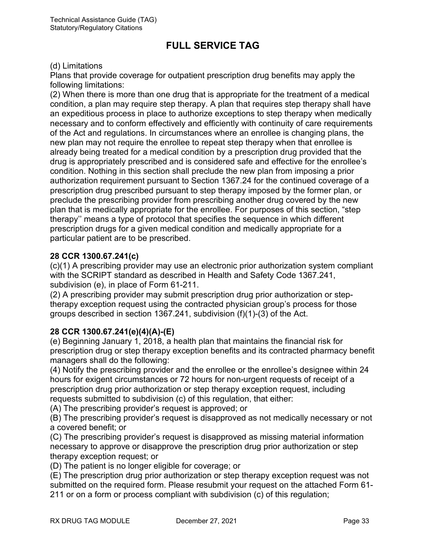#### (d) Limitations

Plans that provide coverage for outpatient prescription drug benefits may apply the following limitations:

(2) When there is more than one drug that is appropriate for the treatment of a medical condition, a plan may require step therapy. A plan that requires step therapy shall have an expeditious process in place to authorize exceptions to step therapy when medically necessary and to conform effectively and efficiently with continuity of care requirements of the Act and regulations. In circumstances where an enrollee is changing plans, the new plan may not require the enrollee to repeat step therapy when that enrollee is already being treated for a medical condition by a prescription drug provided that the drug is appropriately prescribed and is considered safe and effective for the enrollee's condition. Nothing in this section shall preclude the new plan from imposing a prior authorization requirement pursuant to Section 1367.24 for the continued coverage of a prescription drug prescribed pursuant to step therapy imposed by the former plan, or preclude the prescribing provider from prescribing another drug covered by the new plan that is medically appropriate for the enrollee. For purposes of this section, "step therapy'' means a type of protocol that specifies the sequence in which different prescription drugs for a given medical condition and medically appropriate for a particular patient are to be prescribed.

#### **28 CCR 1300.67.241(c)**

(c)(1) A prescribing provider may use an electronic prior authorization system compliant with the SCRIPT standard as described in Health and Safety Code 1367.241, subdivision (e), in place of Form 61-211.

(2) A prescribing provider may submit prescription drug prior authorization or steptherapy exception request using the contracted physician group's process for those groups described in section 1367.241, subdivision (f)(1)-(3) of the Act.

#### **28 CCR 1300.67.241(e)(4)(A)-(E)**

(e) Beginning January 1, 2018, a health plan that maintains the financial risk for prescription drug or step therapy exception benefits and its contracted pharmacy benefit managers shall do the following:

(4) Notify the prescribing provider and the enrollee or the enrollee's designee within 24 hours for exigent circumstances or 72 hours for non-urgent requests of receipt of a prescription drug prior authorization or step therapy exception request, including requests submitted to subdivision (c) of this regulation, that either:

(A) The prescribing provider's request is approved; or

(B) The prescribing provider's request is disapproved as not medically necessary or not a covered benefit; or

(C) The prescribing provider's request is disapproved as missing material information necessary to approve or disapprove the prescription drug prior authorization or step therapy exception request; or

(D) The patient is no longer eligible for coverage; or

(E) The prescription drug prior authorization or step therapy exception request was not submitted on the required form. Please resubmit your request on the attached Form 61- 211 or on a form or process compliant with subdivision (c) of this regulation;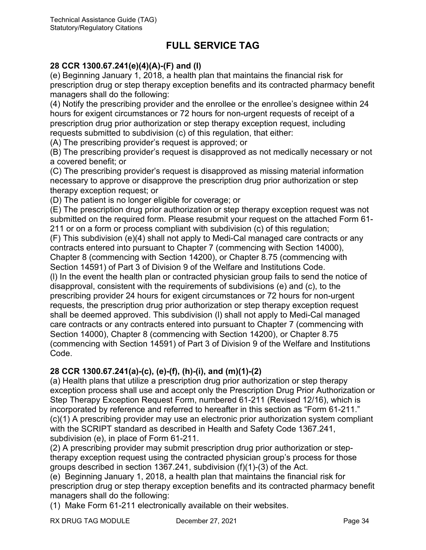#### **28 CCR 1300.67.241(e)(4)(A)-(F) and (I)**

(e) Beginning January 1, 2018, a health plan that maintains the financial risk for prescription drug or step therapy exception benefits and its contracted pharmacy benefit managers shall do the following:

(4) Notify the prescribing provider and the enrollee or the enrollee's designee within 24 hours for exigent circumstances or 72 hours for non-urgent requests of receipt of a prescription drug prior authorization or step therapy exception request, including requests submitted to subdivision (c) of this regulation, that either:

(A) The prescribing provider's request is approved; or

(B) The prescribing provider's request is disapproved as not medically necessary or not a covered benefit; or

(C) The prescribing provider's request is disapproved as missing material information necessary to approve or disapprove the prescription drug prior authorization or step therapy exception request; or

(D) The patient is no longer eligible for coverage; or

(E) The prescription drug prior authorization or step therapy exception request was not submitted on the required form. Please resubmit your request on the attached Form 61- 211 or on a form or process compliant with subdivision (c) of this regulation;

(F) This subdivision (e)(4) shall not apply to Medi-Cal managed care contracts or any contracts entered into pursuant to Chapter 7 (commencing with Section 14000), Chapter 8 (commencing with Section 14200), or Chapter 8.75 (commencing with

Section 14591) of Part 3 of Division 9 of the Welfare and Institutions Code.

(l) In the event the health plan or contracted physician group fails to send the notice of disapproval, consistent with the requirements of subdivisions (e) and (c), to the prescribing provider 24 hours for exigent circumstances or 72 hours for non-urgent requests, the prescription drug prior authorization or step therapy exception request shall be deemed approved. This subdivision (l) shall not apply to Medi-Cal managed care contracts or any contracts entered into pursuant to Chapter 7 (commencing with Section 14000), Chapter 8 (commencing with Section 14200), or Chapter 8.75 (commencing with Section 14591) of Part 3 of Division 9 of the Welfare and Institutions Code.

#### **28 CCR 1300.67.241(a)-(c), (e)-(f), (h)-(i), and (m)(1)-(2)**

(a) Health plans that utilize a prescription drug prior authorization or step therapy exception process shall use and accept only the Prescription Drug Prior Authorization or Step Therapy Exception Request Form, numbered 61-211 (Revised 12/16), which is incorporated by reference and referred to hereafter in this section as "Form 61-211." (c)(1) A prescribing provider may use an electronic prior authorization system compliant with the SCRIPT standard as described in Health and Safety Code 1367.241, subdivision (e), in place of Form 61-211.

(2) A prescribing provider may submit prescription drug prior authorization or steptherapy exception request using the contracted physician group's process for those groups described in section 1367.241, subdivision (f)(1)-(3) of the Act.

(e) Beginning January 1, 2018, a health plan that maintains the financial risk for prescription drug or step therapy exception benefits and its contracted pharmacy benefit managers shall do the following:

(1) Make Form 61-211 electronically available on their websites.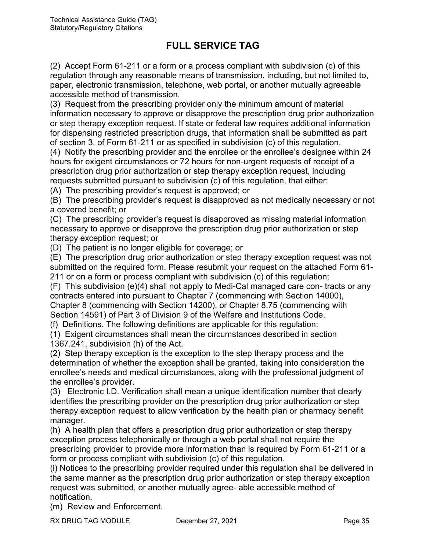(2) Accept Form 61-211 or a form or a process compliant with subdivision (c) of this regulation through any reasonable means of transmission, including, but not limited to, paper, electronic transmission, telephone, web portal, or another mutually agreeable accessible method of transmission.

(3) Request from the prescribing provider only the minimum amount of material information necessary to approve or disapprove the prescription drug prior authorization or step therapy exception request. If state or federal law requires additional information for dispensing restricted prescription drugs, that information shall be submitted as part of section 3. of Form 61-211 or as specified in subdivision (c) of this regulation.

(4) Notify the prescribing provider and the enrollee or the enrollee's designee within 24 hours for exigent circumstances or 72 hours for non-urgent requests of receipt of a prescription drug prior authorization or step therapy exception request, including requests submitted pursuant to subdivision (c) of this regulation, that either:

(A) The prescribing provider's request is approved; or

(B) The prescribing provider's request is disapproved as not medically necessary or not a covered benefit; or

(C) The prescribing provider's request is disapproved as missing material information necessary to approve or disapprove the prescription drug prior authorization or step therapy exception request; or

(D) The patient is no longer eligible for coverage; or

(E) The prescription drug prior authorization or step therapy exception request was not submitted on the required form. Please resubmit your request on the attached Form 61- 211 or on a form or process compliant with subdivision (c) of this regulation;

(F) This subdivision (e)(4) shall not apply to Medi-Cal managed care con- tracts or any contracts entered into pursuant to Chapter 7 (commencing with Section 14000), Chapter 8 (commencing with Section 14200), or Chapter 8.75 (commencing with Section 14591) of Part 3 of Division 9 of the Welfare and Institutions Code.

(f) Definitions. The following definitions are applicable for this regulation:

(1) Exigent circumstances shall mean the circumstances described in section 1367.241, subdivision (h) of the Act.

(2) Step therapy exception is the exception to the step therapy process and the determination of whether the exception shall be granted, taking into consideration the enrollee's needs and medical circumstances, along with the professional judgment of the enrollee's provider.

(3) Electronic I.D. Verification shall mean a unique identification number that clearly identifies the prescribing provider on the prescription drug prior authorization or step therapy exception request to allow verification by the health plan or pharmacy benefit manager.

(h) A health plan that offers a prescription drug prior authorization or step therapy exception process telephonically or through a web portal shall not require the prescribing provider to provide more information than is required by Form 61-211 or a form or process compliant with subdivision (c) of this regulation.

(i) Notices to the prescribing provider required under this regulation shall be delivered in the same manner as the prescription drug prior authorization or step therapy exception request was submitted, or another mutually agree- able accessible method of notification.

(m) Review and Enforcement.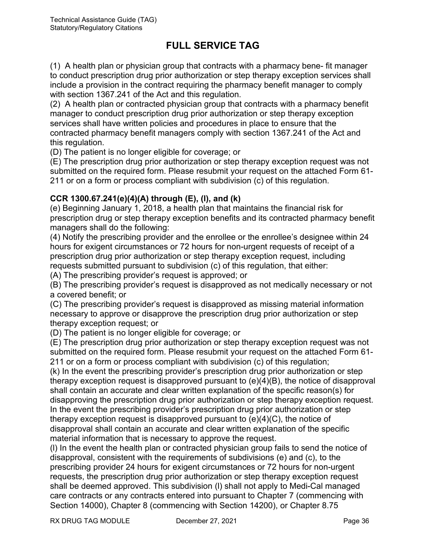(1) A health plan or physician group that contracts with a pharmacy bene- fit manager to conduct prescription drug prior authorization or step therapy exception services shall include a provision in the contract requiring the pharmacy benefit manager to comply with section 1367.241 of the Act and this regulation.

(2) A health plan or contracted physician group that contracts with a pharmacy benefit manager to conduct prescription drug prior authorization or step therapy exception services shall have written policies and procedures in place to ensure that the contracted pharmacy benefit managers comply with section 1367.241 of the Act and this regulation.

(D) The patient is no longer eligible for coverage; or

(E) The prescription drug prior authorization or step therapy exception request was not submitted on the required form. Please resubmit your request on the attached Form 61- 211 or on a form or process compliant with subdivision (c) of this regulation.

#### **CCR 1300.67.241(e)(4)(A) through (E), (l), and (k)**

(e) Beginning January 1, 2018, a health plan that maintains the financial risk for prescription drug or step therapy exception benefits and its contracted pharmacy benefit managers shall do the following:

(4) Notify the prescribing provider and the enrollee or the enrollee's designee within 24 hours for exigent circumstances or 72 hours for non-urgent requests of receipt of a prescription drug prior authorization or step therapy exception request, including requests submitted pursuant to subdivision (c) of this regulation, that either:

(A) The prescribing provider's request is approved; or

(B) The prescribing provider's request is disapproved as not medically necessary or not a covered benefit; or

(C) The prescribing provider's request is disapproved as missing material information necessary to approve or disapprove the prescription drug prior authorization or step therapy exception request; or

(D) The patient is no longer eligible for coverage; or

(E) The prescription drug prior authorization or step therapy exception request was not submitted on the required form. Please resubmit your request on the attached Form 61- 211 or on a form or process compliant with subdivision (c) of this regulation;

(k) In the event the prescribing provider's prescription drug prior authorization or step therapy exception request is disapproved pursuant to (e)(4)(B), the notice of disapproval shall contain an accurate and clear written explanation of the specific reason(s) for disapproving the prescription drug prior authorization or step therapy exception request. In the event the prescribing provider's prescription drug prior authorization or step therapy exception request is disapproved pursuant to (e)(4)(C), the notice of disapproval shall contain an accurate and clear written explanation of the specific material information that is necessary to approve the request.

(l) In the event the health plan or contracted physician group fails to send the notice of disapproval, consistent with the requirements of subdivisions (e) and (c), to the prescribing provider 24 hours for exigent circumstances or 72 hours for non-urgent requests, the prescription drug prior authorization or step therapy exception request shall be deemed approved. This subdivision (l) shall not apply to Medi-Cal managed care contracts or any contracts entered into pursuant to Chapter 7 (commencing with Section 14000), Chapter 8 (commencing with Section 14200), or Chapter 8.75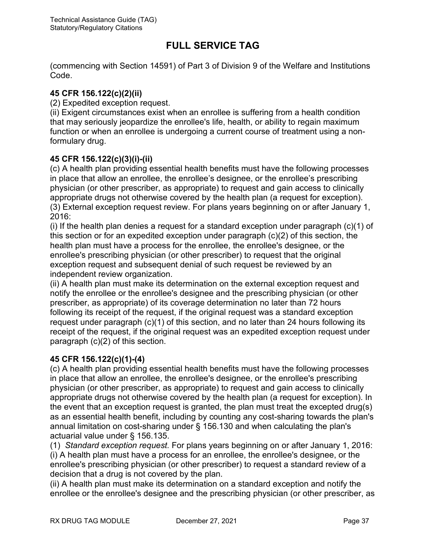(commencing with Section 14591) of Part 3 of Division 9 of the Welfare and Institutions Code.

#### **45 CFR 156.122(c)(2)(ii)**

(2) Expedited exception request.

(ii) Exigent circumstances exist when an enrollee is suffering from a health condition that may seriously jeopardize the enrollee's life, health, or ability to regain maximum function or when an enrollee is undergoing a current course of treatment using a nonformulary drug.

#### **45 CFR 156.122(c)(3)(i)-(ii)**

(c) A health plan providing essential health benefits must have the following processes in place that allow an enrollee, the enrollee's designee, or the enrollee's prescribing physician (or other prescriber, as appropriate) to request and gain access to clinically appropriate drugs not otherwise covered by the health plan (a request for exception). (3) External exception request review. For plans years beginning on or after January 1,  $2016$ 

(i) If the health plan denies a request for a standard exception under paragraph (c)(1) of this section or for an expedited exception under paragraph (c)(2) of this section, the health plan must have a process for the enrollee, the enrollee's designee, or the enrollee's prescribing physician (or other prescriber) to request that the original exception request and subsequent denial of such request be reviewed by an independent review organization.

(ii) A health plan must make its determination on the external exception request and notify the enrollee or the enrollee's designee and the prescribing physician (or other prescriber, as appropriate) of its coverage determination no later than 72 hours following its receipt of the request, if the original request was a standard exception request under paragraph (c)(1) of this section, and no later than 24 hours following its receipt of the request, if the original request was an expedited exception request under paragraph (c)(2) of this section.

### **45 CFR 156.122(c)(1)-(4)**

(c) A health [plan](https://www.law.cornell.edu/definitions/index.php?width=840&height=800&iframe=true&def_id=2b74e43866fc5b8f1f15155c434c7c1d&term_occur=5&term_src=Title:45:Chapter:A:Subchapter:B:Part:156:Subpart:B:156.122) providing essential [health benefits](https://www.law.cornell.edu/definitions/index.php?width=840&height=800&iframe=true&def_id=7877abaa9ca0f28a97952f38d3912949&term_occur=2&term_src=Title:45:Chapter:A:Subchapter:B:Part:156:Subpart:B:156.122) must have the following processes in place that allow an enrollee, the enrollee's designee, or the enrollee's prescribing physician (or other prescriber, as appropriate) to request and gain access to clinically appropriate drugs not otherwise covered by the health [plan](https://www.law.cornell.edu/definitions/index.php?width=840&height=800&iframe=true&def_id=2b74e43866fc5b8f1f15155c434c7c1d&term_occur=6&term_src=Title:45:Chapter:A:Subchapter:B:Part:156:Subpart:B:156.122) (a request for exception). In the event that an exception request is granted, the [plan](https://www.law.cornell.edu/definitions/index.php?width=840&height=800&iframe=true&def_id=2b74e43866fc5b8f1f15155c434c7c1d&term_occur=7&term_src=Title:45:Chapter:A:Subchapter:B:Part:156:Subpart:B:156.122) must treat the excepted drug(s) as an essential health benefit, including by counting any [cost-sharing](https://www.law.cornell.edu/definitions/index.php?width=840&height=800&iframe=true&def_id=e1f5711583740ee22a04dfe8ffe74390&term_occur=1&term_src=Title:45:Chapter:A:Subchapter:B:Part:156:Subpart:B:156.122) towards the [plan'](https://www.law.cornell.edu/definitions/index.php?width=840&height=800&iframe=true&def_id=2b74e43866fc5b8f1f15155c434c7c1d&term_occur=8&term_src=Title:45:Chapter:A:Subchapter:B:Part:156:Subpart:B:156.122)s annual limitation on [cost-sharing](https://www.law.cornell.edu/definitions/index.php?width=840&height=800&iframe=true&def_id=e1f5711583740ee22a04dfe8ffe74390&term_occur=2&term_src=Title:45:Chapter:A:Subchapter:B:Part:156:Subpart:B:156.122) under [§ 156.130](https://www.law.cornell.edu/cfr/text/45/156.130) and when calculating the [plan's](https://www.law.cornell.edu/definitions/index.php?width=840&height=800&iframe=true&def_id=2b74e43866fc5b8f1f15155c434c7c1d&term_occur=9&term_src=Title:45:Chapter:A:Subchapter:B:Part:156:Subpart:B:156.122) [actuarial value](https://www.law.cornell.edu/definitions/index.php?width=840&height=800&iframe=true&def_id=39d8949ddc2a7315c8a195cd5242d1ca&term_occur=1&term_src=Title:45:Chapter:A:Subchapter:B:Part:156:Subpart:B:156.122) under [§ 156.135.](https://www.law.cornell.edu/cfr/text/45/156.135)

(1)*Standard exception request.* For [plans](https://www.law.cornell.edu/definitions/index.php?width=840&height=800&iframe=true&def_id=2b74e43866fc5b8f1f15155c434c7c1d&term_occur=10&term_src=Title:45:Chapter:A:Subchapter:B:Part:156:Subpart:B:156.122) years beginning on or after January 1, 2016: (i) A health [plan](https://www.law.cornell.edu/definitions/index.php?width=840&height=800&iframe=true&def_id=2b74e43866fc5b8f1f15155c434c7c1d&term_occur=11&term_src=Title:45:Chapter:A:Subchapter:B:Part:156:Subpart:B:156.122) must have a process for an enrollee, the enrollee's designee, or the enrollee's prescribing physician (or other prescriber) to request a standard review of a decision that a drug is not covered by the [plan.](https://www.law.cornell.edu/definitions/index.php?width=840&height=800&iframe=true&def_id=2b74e43866fc5b8f1f15155c434c7c1d&term_occur=12&term_src=Title:45:Chapter:A:Subchapter:B:Part:156:Subpart:B:156.122)

(ii) A health [plan](https://www.law.cornell.edu/definitions/index.php?width=840&height=800&iframe=true&def_id=2b74e43866fc5b8f1f15155c434c7c1d&term_occur=13&term_src=Title:45:Chapter:A:Subchapter:B:Part:156:Subpart:B:156.122) must make its determination on a standard exception and notify the enrollee or the enrollee's designee and the prescribing physician (or other prescriber, as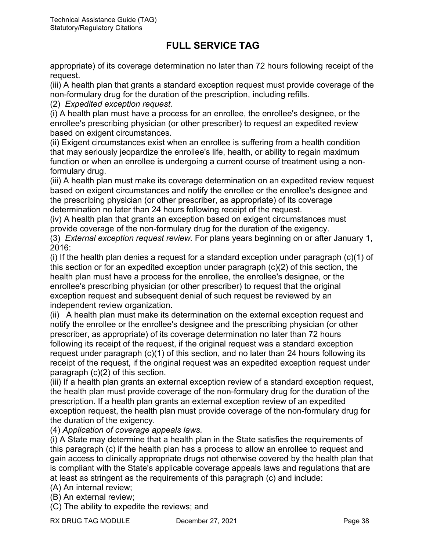appropriate) of its coverage determination no later than 72 hours following receipt of the request.

(iii) A health [plan](https://www.law.cornell.edu/definitions/index.php?width=840&height=800&iframe=true&def_id=2b74e43866fc5b8f1f15155c434c7c1d&term_occur=14&term_src=Title:45:Chapter:A:Subchapter:B:Part:156:Subpart:B:156.122) that grants a standard exception request must provide coverage of the non-formulary drug for the duration of the prescription, including refills.

(2) *Expedited exception request.*

(i) A health [plan](https://www.law.cornell.edu/definitions/index.php?width=840&height=800&iframe=true&def_id=2b74e43866fc5b8f1f15155c434c7c1d&term_occur=15&term_src=Title:45:Chapter:A:Subchapter:B:Part:156:Subpart:B:156.122) must have a process for an enrollee, the enrollee's designee, or the enrollee's prescribing physician (or other prescriber) to request an expedited review based on exigent circumstances.

(ii) Exigent circumstances exist when an enrollee is suffering from a health [condition](https://www.law.cornell.edu/definitions/index.php?width=840&height=800&iframe=true&def_id=7534aa4414c62d31b280cea73618c915&term_occur=1&term_src=Title:45:Chapter:A:Subchapter:B:Part:156:Subpart:B:156.122) that may seriously jeopardize the enrollee's life, health, or ability to regain maximum function or when an enrollee is undergoing a current course of treatment using a nonformulary drug.

(iii) A health [plan](https://www.law.cornell.edu/definitions/index.php?width=840&height=800&iframe=true&def_id=2b74e43866fc5b8f1f15155c434c7c1d&term_occur=16&term_src=Title:45:Chapter:A:Subchapter:B:Part:156:Subpart:B:156.122) must make its coverage determination on an expedited review request based on exigent circumstances and notify the enrollee or the enrollee's designee and the prescribing physician (or other prescriber, as appropriate) of its coverage determination no later than 24 hours following receipt of the request.

(iv) A health [plan](https://www.law.cornell.edu/definitions/index.php?width=840&height=800&iframe=true&def_id=2b74e43866fc5b8f1f15155c434c7c1d&term_occur=17&term_src=Title:45:Chapter:A:Subchapter:B:Part:156:Subpart:B:156.122) that grants an exception based on exigent circumstances must provide coverage of the non-formulary drug for the duration of the exigency.

(3)*External exception request review.* For [plans](https://www.law.cornell.edu/definitions/index.php?width=840&height=800&iframe=true&def_id=2b74e43866fc5b8f1f15155c434c7c1d&term_occur=18&term_src=Title:45:Chapter:A:Subchapter:B:Part:156:Subpart:B:156.122) years beginning on or after January 1, 2016:

(i) If the health [plan](https://www.law.cornell.edu/definitions/index.php?width=840&height=800&iframe=true&def_id=2b74e43866fc5b8f1f15155c434c7c1d&term_occur=19&term_src=Title:45:Chapter:A:Subchapter:B:Part:156:Subpart:B:156.122) denies a request for a standard exception under paragraph  $(c)(1)$  of this section or for an expedited exception under [paragraph \(c\)\(2\)](https://www.law.cornell.edu/cfr/text/45/156.122#c_2) of this section, the health [plan](https://www.law.cornell.edu/definitions/index.php?width=840&height=800&iframe=true&def_id=2b74e43866fc5b8f1f15155c434c7c1d&term_occur=20&term_src=Title:45:Chapter:A:Subchapter:B:Part:156:Subpart:B:156.122) must have a process for the enrollee, the enrollee's designee, or the enrollee's prescribing physician (or other prescriber) to request that the original exception request and subsequent denial of such request be reviewed by an independent review organization.

(ii) A health [plan](https://www.law.cornell.edu/definitions/index.php?width=840&height=800&iframe=true&def_id=2b74e43866fc5b8f1f15155c434c7c1d&term_occur=21&term_src=Title:45:Chapter:A:Subchapter:B:Part:156:Subpart:B:156.122) must make its determination on the external exception request and notify the enrollee or the enrollee's designee and the prescribing physician (or other prescriber, as appropriate) of its coverage determination no later than 72 hours following its receipt of the request, if the original request was a standard exception request under [paragraph \(c\)\(1\)](https://www.law.cornell.edu/cfr/text/45/156.122#c_1) of this section, and no later than 24 hours following its receipt of the request, if the original request was an expedited exception request under [paragraph \(c\)\(2\)](https://www.law.cornell.edu/cfr/text/45/156.122#c_2) of this section.

(iii) If a health [plan](https://www.law.cornell.edu/definitions/index.php?width=840&height=800&iframe=true&def_id=2b74e43866fc5b8f1f15155c434c7c1d&term_occur=22&term_src=Title:45:Chapter:A:Subchapter:B:Part:156:Subpart:B:156.122) grants an external exception review of a standard exception request, the health [plan](https://www.law.cornell.edu/definitions/index.php?width=840&height=800&iframe=true&def_id=2b74e43866fc5b8f1f15155c434c7c1d&term_occur=23&term_src=Title:45:Chapter:A:Subchapter:B:Part:156:Subpart:B:156.122) must provide coverage of the non-formulary drug for the duration of the prescription. If a health [plan](https://www.law.cornell.edu/definitions/index.php?width=840&height=800&iframe=true&def_id=2b74e43866fc5b8f1f15155c434c7c1d&term_occur=24&term_src=Title:45:Chapter:A:Subchapter:B:Part:156:Subpart:B:156.122) grants an external exception review of an expedited exception request, the health [plan](https://www.law.cornell.edu/definitions/index.php?width=840&height=800&iframe=true&def_id=2b74e43866fc5b8f1f15155c434c7c1d&term_occur=25&term_src=Title:45:Chapter:A:Subchapter:B:Part:156:Subpart:B:156.122) must provide coverage of the non-formulary drug for the duration of the exigency.

(4) *Application of coverage appeals laws.*

(i) A [State](https://www.law.cornell.edu/definitions/index.php?width=840&height=800&iframe=true&def_id=8d9629d585bd46c22375f1e87dfcd90e&term_occur=3&term_src=Title:45:Chapter:A:Subchapter:B:Part:156:Subpart:B:156.122) may determine that a health [plan](https://www.law.cornell.edu/definitions/index.php?width=840&height=800&iframe=true&def_id=2b74e43866fc5b8f1f15155c434c7c1d&term_occur=26&term_src=Title:45:Chapter:A:Subchapter:B:Part:156:Subpart:B:156.122) in the [State](https://www.law.cornell.edu/definitions/index.php?width=840&height=800&iframe=true&def_id=8d9629d585bd46c22375f1e87dfcd90e&term_occur=4&term_src=Title:45:Chapter:A:Subchapter:B:Part:156:Subpart:B:156.122) satisfies the requirements of this paragraph (c) if the health [plan](https://www.law.cornell.edu/definitions/index.php?width=840&height=800&iframe=true&def_id=2b74e43866fc5b8f1f15155c434c7c1d&term_occur=27&term_src=Title:45:Chapter:A:Subchapter:B:Part:156:Subpart:B:156.122) has a process to allow an enrollee to request and gain access to clinically appropriate drugs not otherwise covered by the health [plan](https://www.law.cornell.edu/definitions/index.php?width=840&height=800&iframe=true&def_id=2b74e43866fc5b8f1f15155c434c7c1d&term_occur=28&term_src=Title:45:Chapter:A:Subchapter:B:Part:156:Subpart:B:156.122) that is compliant with the [State's](https://www.law.cornell.edu/definitions/index.php?width=840&height=800&iframe=true&def_id=8d9629d585bd46c22375f1e87dfcd90e&term_occur=5&term_src=Title:45:Chapter:A:Subchapter:B:Part:156:Subpart:B:156.122) applicable coverage appeals laws and regulations that are at least as stringent as the requirements of this paragraph (c) and include:

(A) An internal review;

(B) An external review;

(C) The ability to expedite the reviews; and